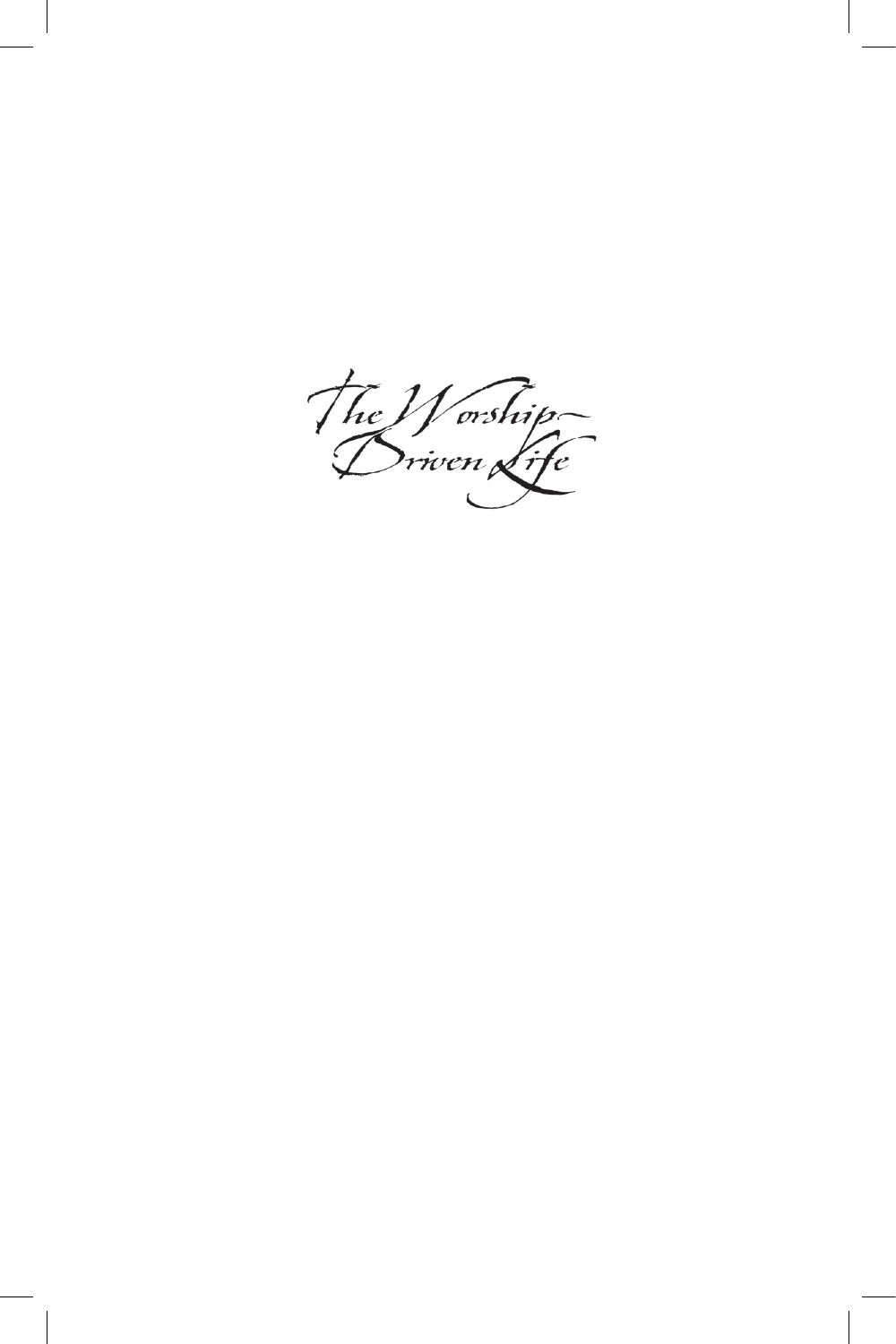The *Worship*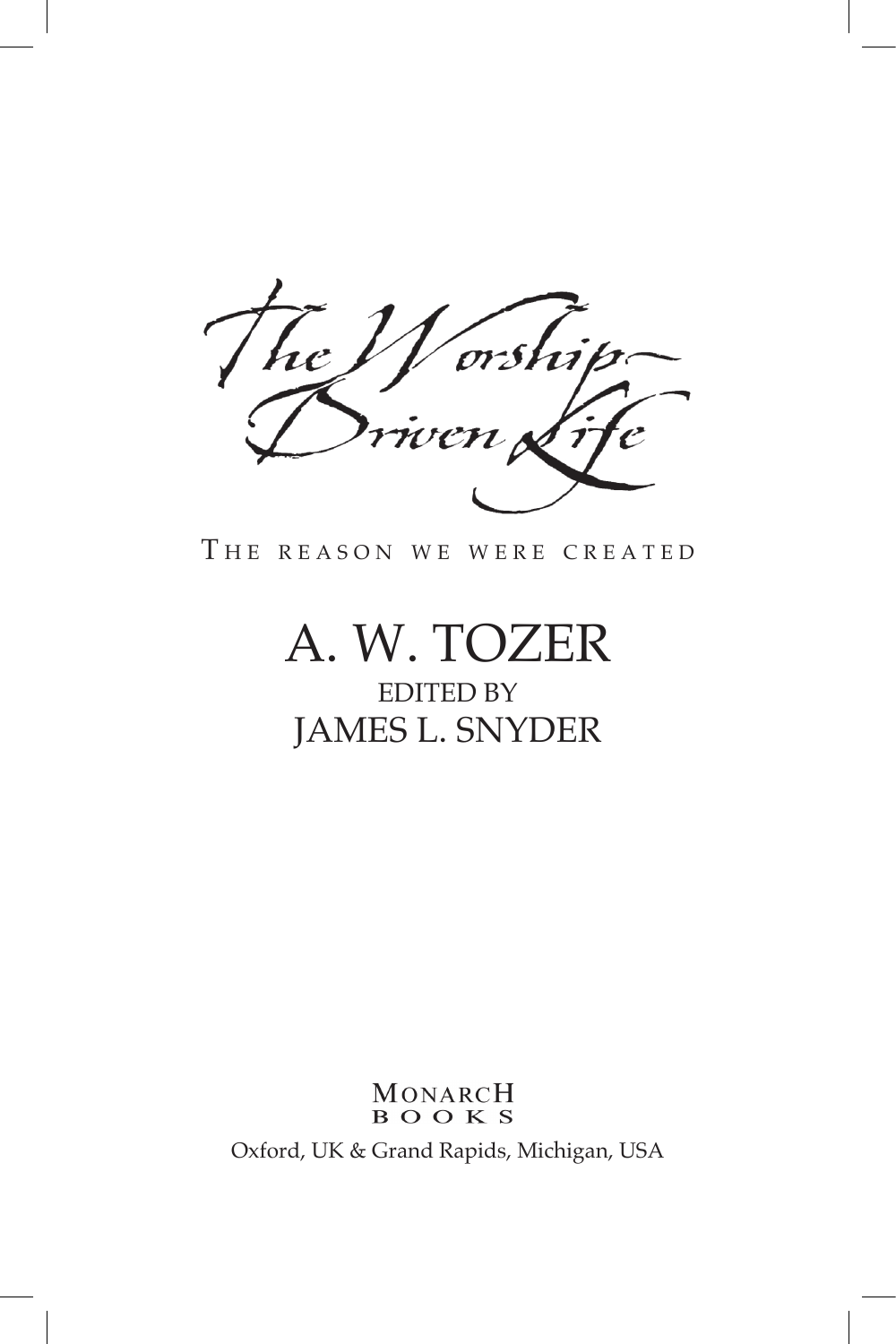orshn 'ic  $\sum_{i=1}^N\frac{1}{n_i}$ 

THE REASON WE WERE CREATED

# A. W. Tozer

## Edited by James L. Snyder

### MONARCH **BOOKS** Oxford, UK & Grand Rapids, Michigan, USA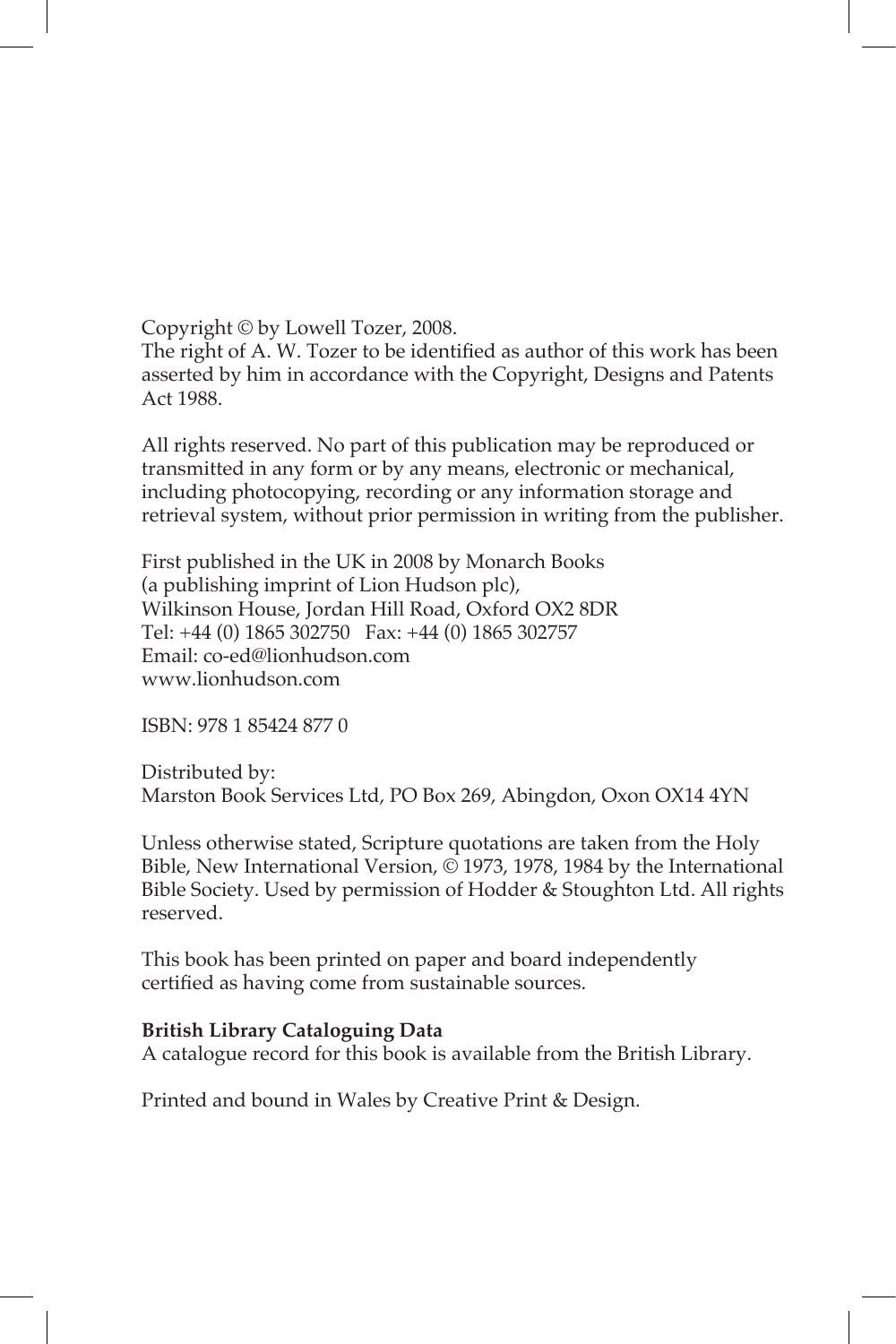Copyright © by Lowell Tozer, 2008.

The right of A. W. Tozer to be identified as author of this work has been asserted by him in accordance with the Copyright, Designs and Patents Act 1988.

All rights reserved. No part of this publication may be reproduced or transmitted in any form or by any means, electronic or mechanical, including photocopying, recording or any information storage and retrieval system, without prior permission in writing from the publisher.

First published in the UK in 2008 by Monarch Books (a publishing imprint of Lion Hudson plc), Wilkinson House, Jordan Hill Road, Oxford OX2 8DR Tel: +44 (0) 1865 302750 Fax: +44 (0) 1865 302757 Email: co-ed@lionhudson.com www.lionhudson.com

ISBN: 978 1 85424 877 0

Distributed by: Marston Book Services Ltd, PO Box 269, Abingdon, Oxon OX14 4YN

Unless otherwise stated, Scripture quotations are taken from the Holy Bible, New International Version, © 1973, 1978, 1984 by the International Bible Society. Used by permission of Hodder & Stoughton Ltd. All rights reserved.

This book has been printed on paper and board independently certified as having come from sustainable sources.

#### **British Library Cataloguing Data**

A catalogue record for this book is available from the British Library.

Printed and bound in Wales by Creative Print & Design.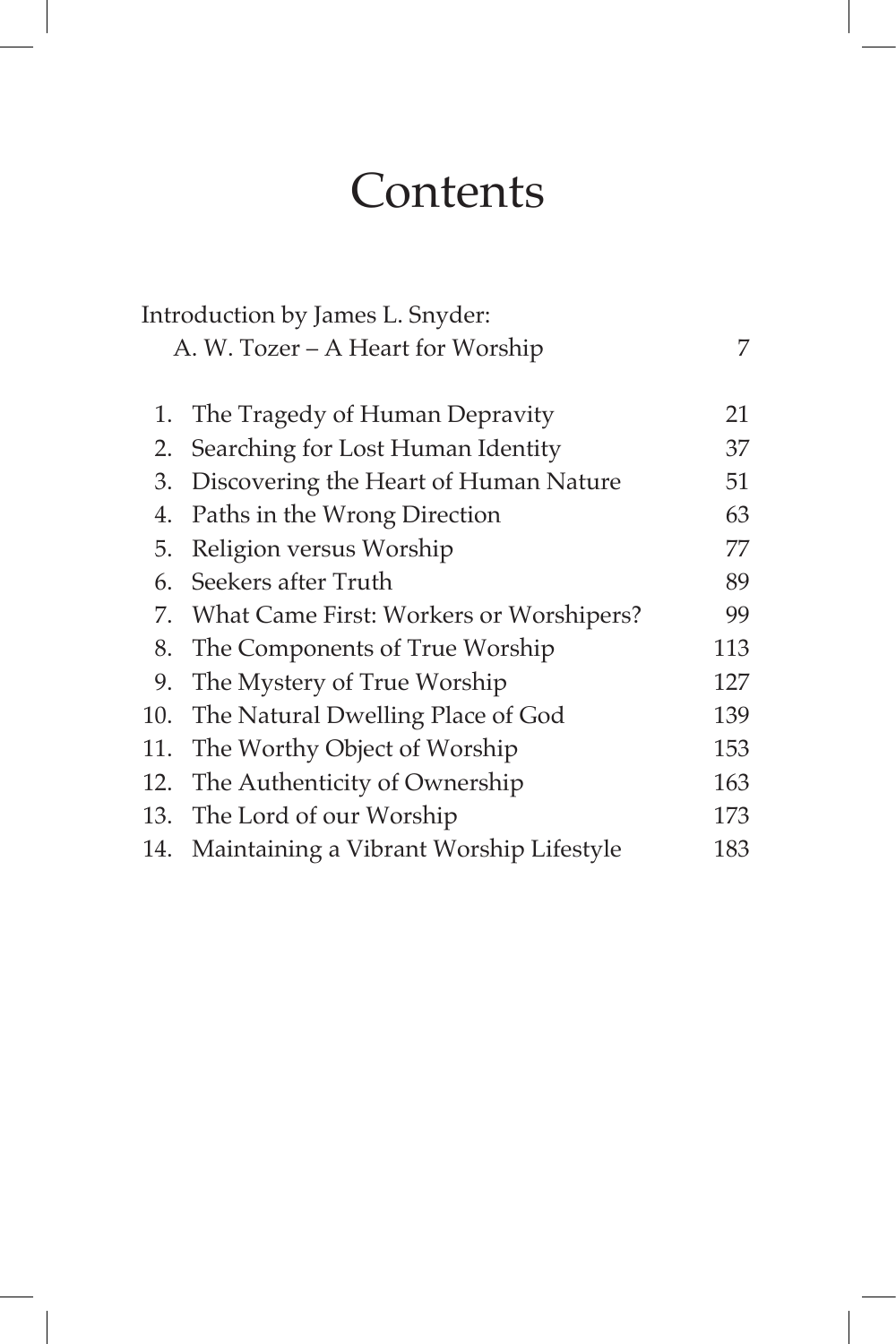## **Contents**

|                                   | Introduction by James L. Snyder:            |     |
|-----------------------------------|---------------------------------------------|-----|
| A. W. Tozer – A Heart for Worship |                                             | 7   |
|                                   |                                             |     |
| 1.                                | The Tragedy of Human Depravity              | 21  |
| 2.                                | Searching for Lost Human Identity           | 37  |
| 3.                                | Discovering the Heart of Human Nature       | 51  |
| 4.                                | Paths in the Wrong Direction                | 63  |
| 5.                                | Religion versus Worship                     | 77  |
| 6.                                | Seekers after Truth                         | 89  |
|                                   | 7. What Came First: Workers or Worshipers?  | 99  |
| 8.                                | The Components of True Worship              | 113 |
| 9.                                | The Mystery of True Worship                 | 127 |
|                                   | 10. The Natural Dwelling Place of God       | 139 |
|                                   | 11. The Worthy Object of Worship            | 153 |
| 12.                               | The Authenticity of Ownership               | 163 |
|                                   | 13. The Lord of our Worship                 | 173 |
|                                   | 14. Maintaining a Vibrant Worship Lifestyle | 183 |
|                                   |                                             |     |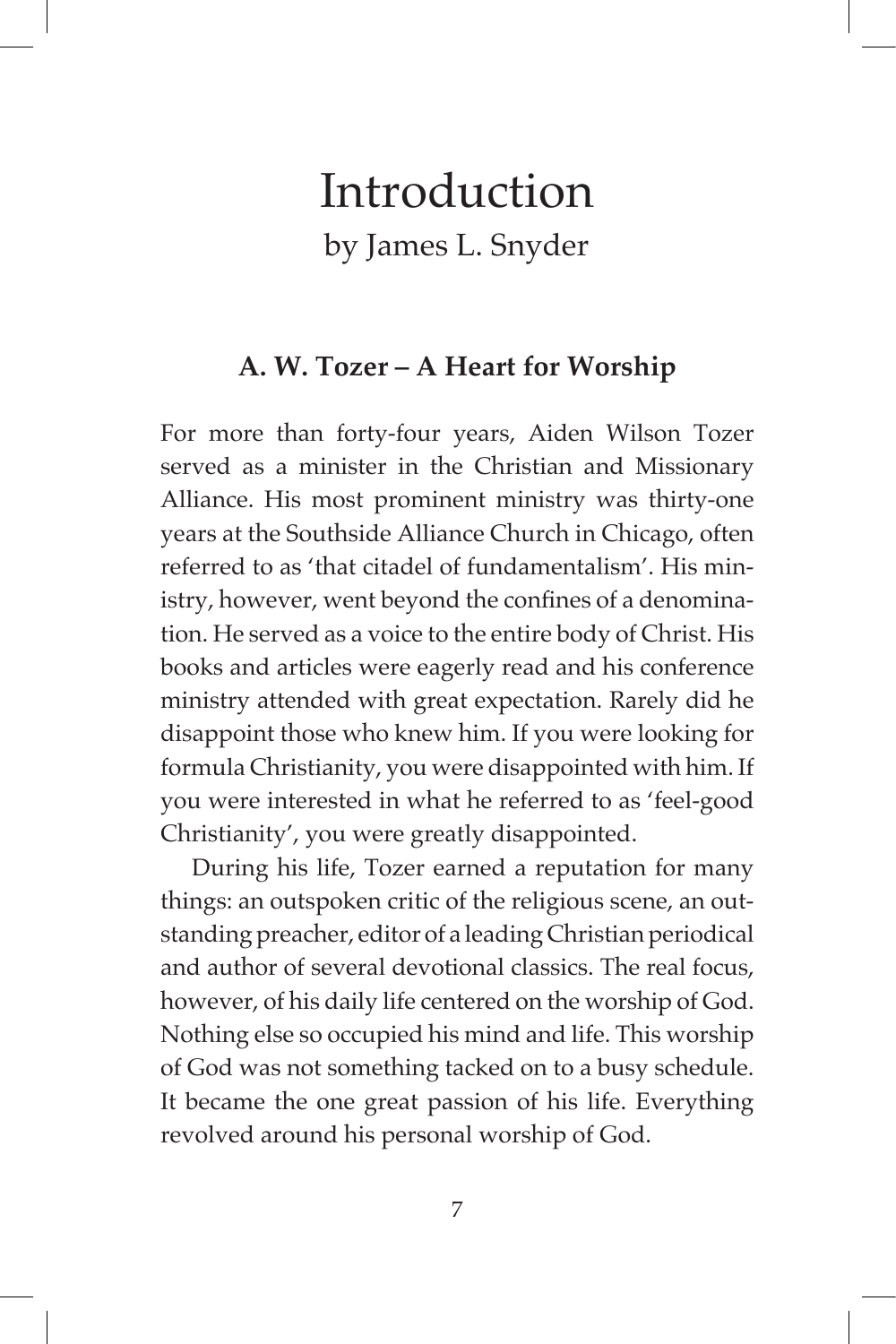## Introduction by James L. Snyder

## **A. W. Tozer – A Heart for Worship**

For more than forty-four years, Aiden Wilson Tozer served as a minister in the Christian and Missionary Alliance. His most prominent ministry was thirty-one years at the Southside Alliance Church in Chicago, often referred to as 'that citadel of fundamentalism'. His ministry, however, went beyond the confines of a denomination. He served as a voice to the entire body of Christ. His books and articles were eagerly read and his conference ministry attended with great expectation. Rarely did he disappoint those who knew him. If you were looking for formula Christianity, you were disappointed with him. If you were interested in what he referred to as 'feel-good Christianity', you were greatly disappointed.

During his life, Tozer earned a reputation for many things: an outspoken critic of the religious scene, an outstanding preacher, editor of a leading Christian periodical and author of several devotional classics. The real focus, however, of his daily life centered on the worship of God. Nothing else so occupied his mind and life. This worship of God was not something tacked on to a busy schedule. It became the one great passion of his life. Everything revolved around his personal worship of God.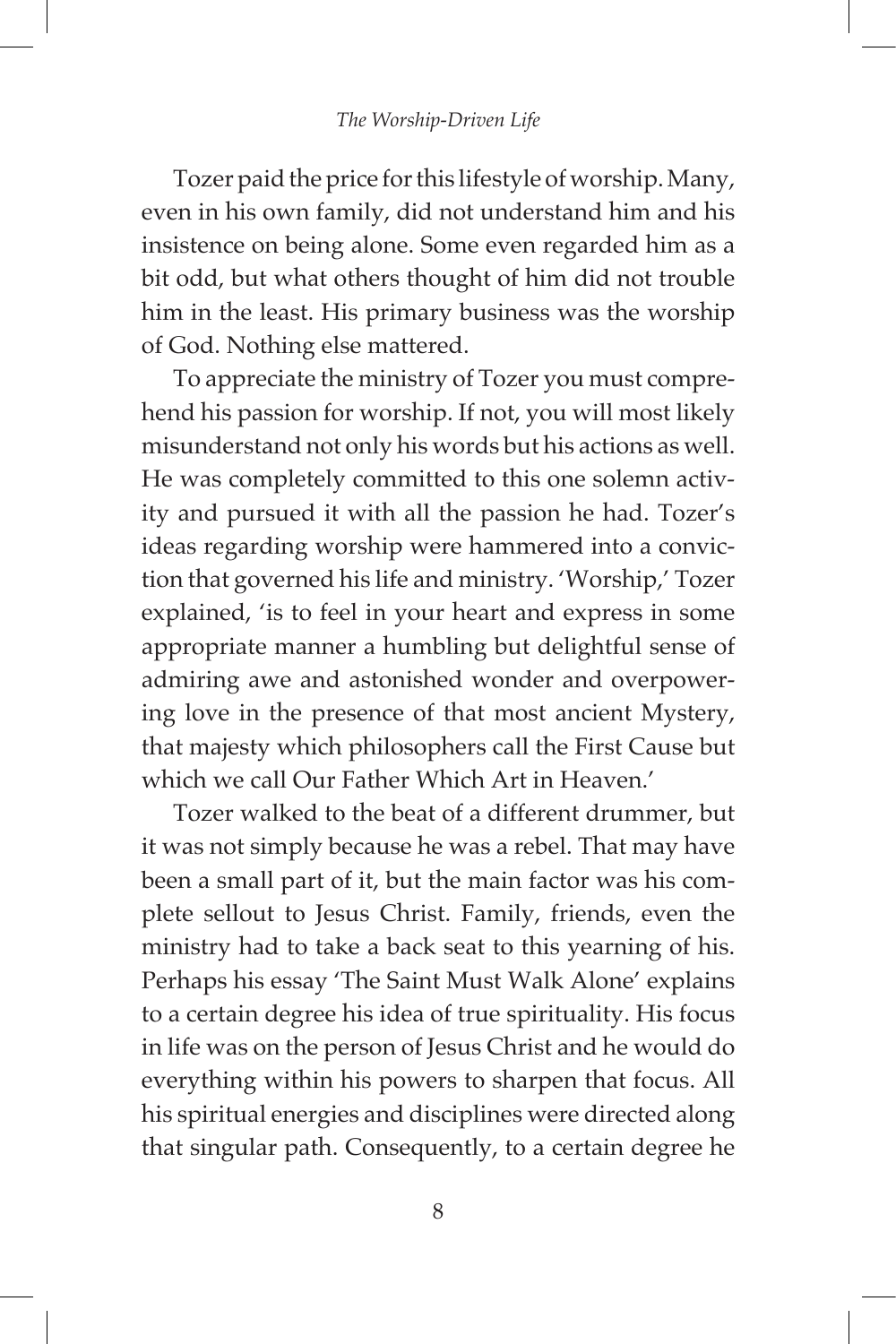Tozer paid the price for this lifestyle of worship. Many, even in his own family, did not understand him and his insistence on being alone. Some even regarded him as a bit odd, but what others thought of him did not trouble him in the least. His primary business was the worship of God. Nothing else mattered.

To appreciate the ministry of Tozer you must comprehend his passion for worship. If not, you will most likely misunderstand not only his words but his actions as well. He was completely committed to this one solemn activity and pursued it with all the passion he had. Tozer's ideas regarding worship were hammered into a conviction that governed his life and ministry. 'Worship,' Tozer explained, 'is to feel in your heart and express in some appropriate manner a humbling but delightful sense of admiring awe and astonished wonder and overpowering love in the presence of that most ancient Mystery, that majesty which philosophers call the First Cause but which we call Our Father Which Art in Heaven.'

Tozer walked to the beat of a different drummer, but it was not simply because he was a rebel. That may have been a small part of it, but the main factor was his complete sellout to Jesus Christ. Family, friends, even the ministry had to take a back seat to this yearning of his. Perhaps his essay 'The Saint Must Walk Alone' explains to a certain degree his idea of true spirituality. His focus in life was on the person of Jesus Christ and he would do everything within his powers to sharpen that focus. All his spiritual energies and disciplines were directed along that singular path. Consequently, to a certain degree he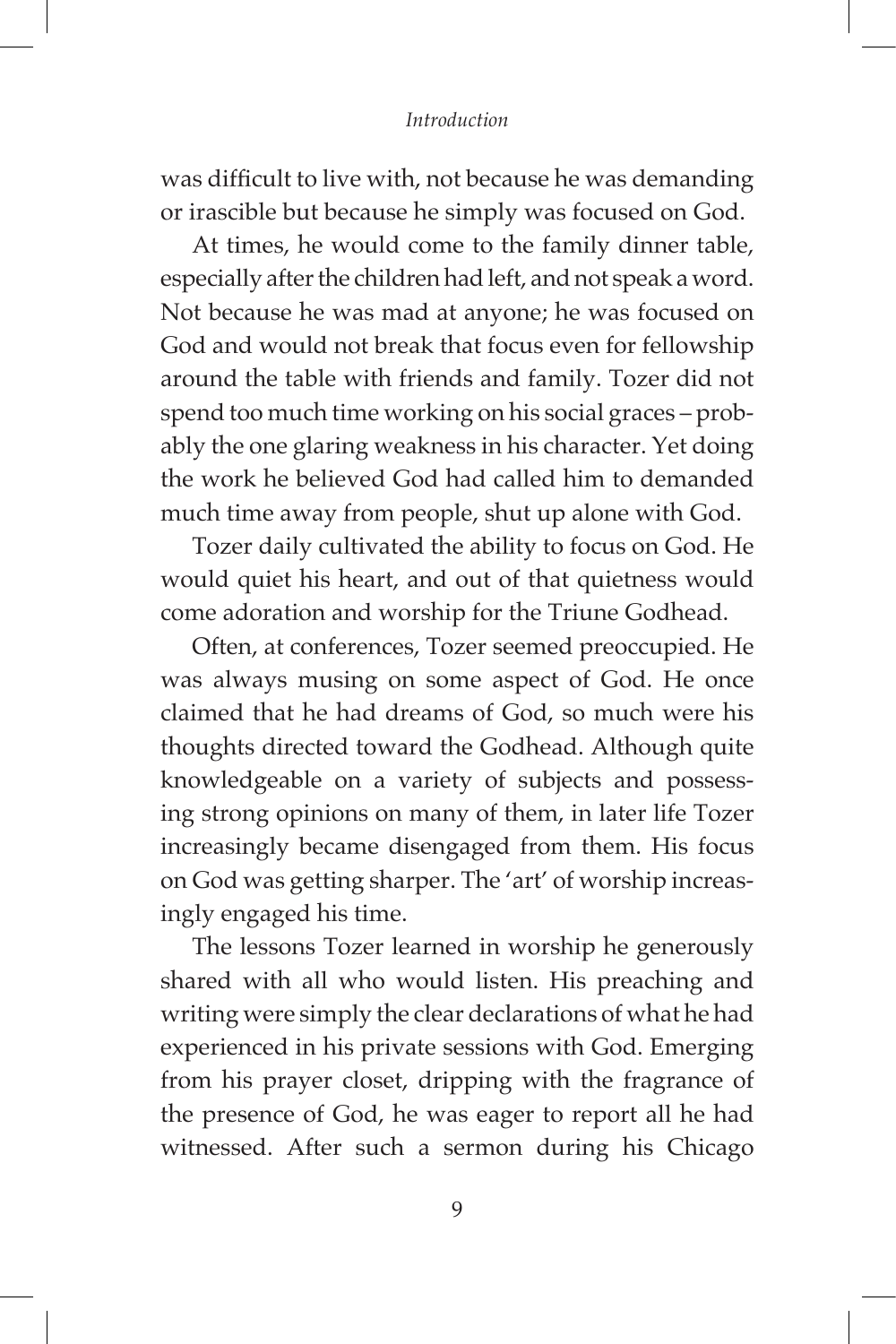#### *Introduction*

was difficult to live with, not because he was demanding or irascible but because he simply was focused on God.

At times, he would come to the family dinner table, especially after the children had left, and not speak a word. Not because he was mad at anyone; he was focused on God and would not break that focus even for fellowship around the table with friends and family. Tozer did not spend too much time working on his social graces – probably the one glaring weakness in his character. Yet doing the work he believed God had called him to demanded much time away from people, shut up alone with God.

Tozer daily cultivated the ability to focus on God. He would quiet his heart, and out of that quietness would come adoration and worship for the Triune Godhead.

Often, at conferences, Tozer seemed preoccupied. He was always musing on some aspect of God. He once claimed that he had dreams of God, so much were his thoughts directed toward the Godhead. Although quite knowledgeable on a variety of subjects and possessing strong opinions on many of them, in later life Tozer increasingly became disengaged from them. His focus on God was getting sharper. The 'art' of worship increasingly engaged his time.

The lessons Tozer learned in worship he generously shared with all who would listen. His preaching and writing were simply the clear declarations of what he had experienced in his private sessions with God. Emerging from his prayer closet, dripping with the fragrance of the presence of God, he was eager to report all he had witnessed. After such a sermon during his Chicago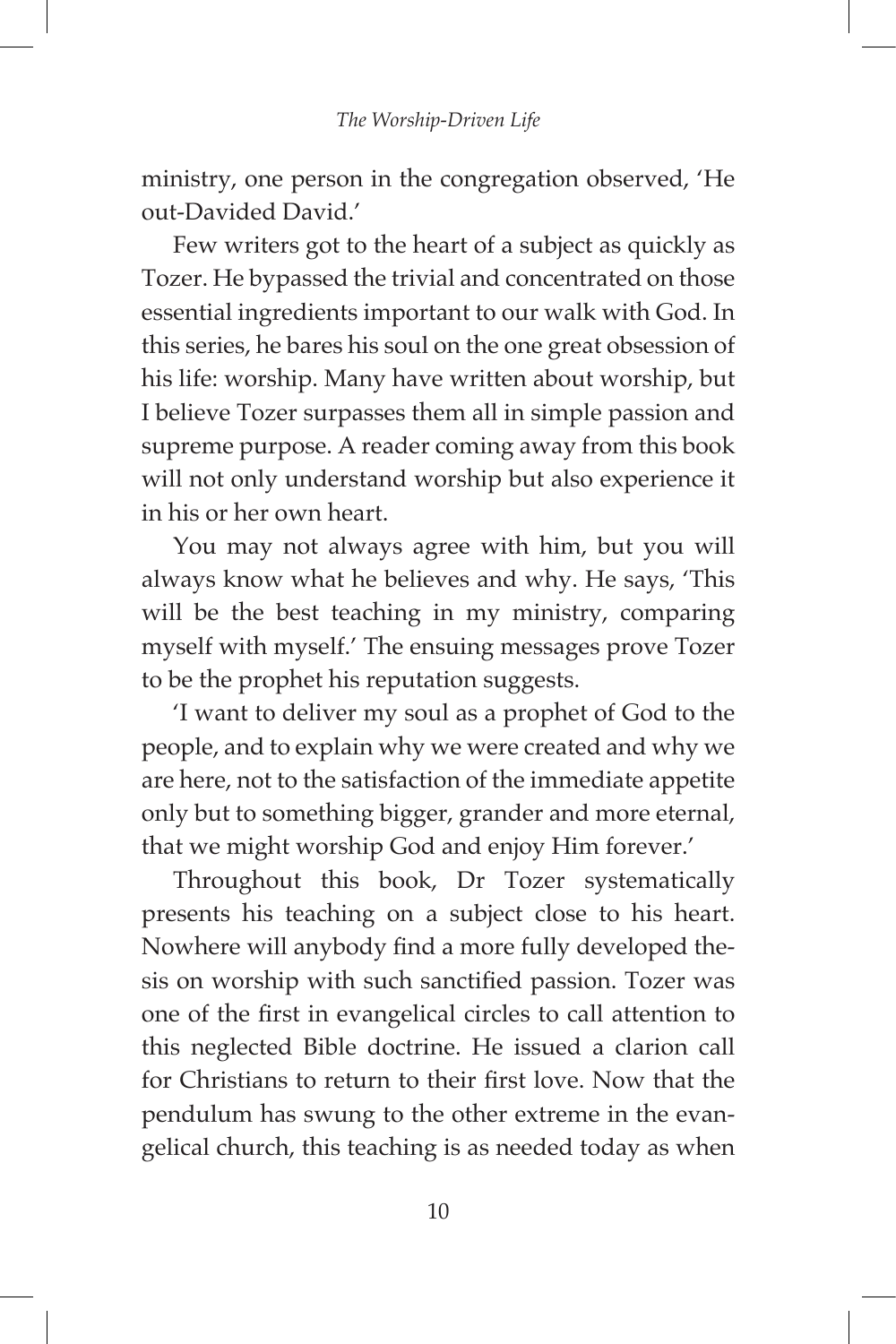ministry, one person in the congregation observed, 'He out-Davided David.'

Few writers got to the heart of a subject as quickly as Tozer. He bypassed the trivial and concentrated on those essential ingredients important to our walk with God. In this series, he bares his soul on the one great obsession of his life: worship. Many have written about worship, but I believe Tozer surpasses them all in simple passion and supreme purpose. A reader coming away from this book will not only understand worship but also experience it in his or her own heart.

You may not always agree with him, but you will always know what he believes and why. He says, 'This will be the best teaching in my ministry, comparing myself with myself.' The ensuing messages prove Tozer to be the prophet his reputation suggests.

'I want to deliver my soul as a prophet of God to the people, and to explain why we were created and why we are here, not to the satisfaction of the immediate appetite only but to something bigger, grander and more eternal, that we might worship God and enjoy Him forever.'

Throughout this book, Dr Tozer systematically presents his teaching on a subject close to his heart. Nowhere will anybody find a more fully developed thesis on worship with such sanctified passion. Tozer was one of the first in evangelical circles to call attention to this neglected Bible doctrine. He issued a clarion call for Christians to return to their first love. Now that the pendulum has swung to the other extreme in the evangelical church, this teaching is as needed today as when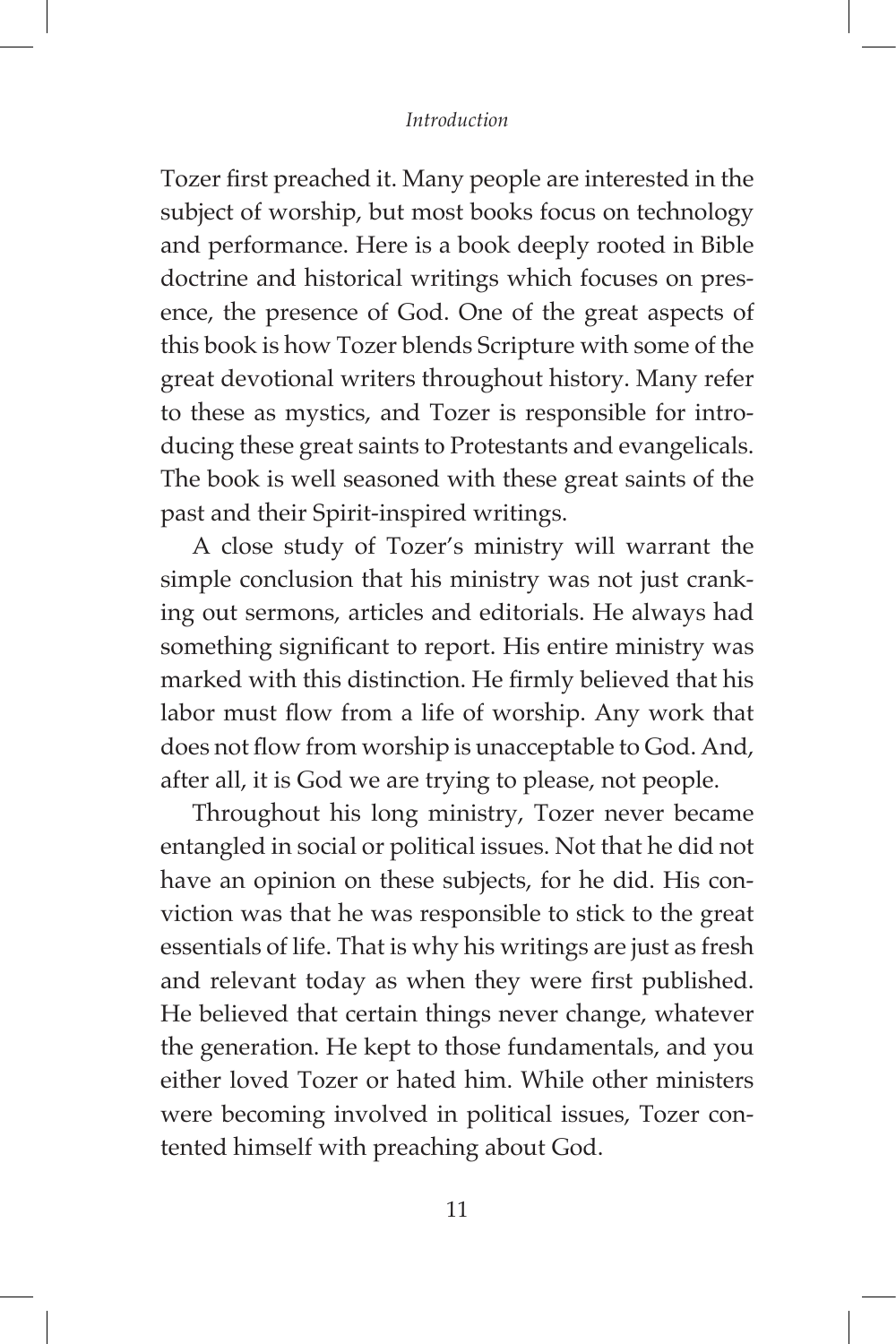#### *Introduction*

Tozer first preached it. Many people are interested in the subject of worship, but most books focus on technology and performance. Here is a book deeply rooted in Bible doctrine and historical writings which focuses on presence, the presence of God. One of the great aspects of this book is how Tozer blends Scripture with some of the great devotional writers throughout history. Many refer to these as mystics, and Tozer is responsible for introducing these great saints to Protestants and evangelicals. The book is well seasoned with these great saints of the past and their Spirit-inspired writings.

A close study of Tozer's ministry will warrant the simple conclusion that his ministry was not just cranking out sermons, articles and editorials. He always had something significant to report. His entire ministry was marked with this distinction. He firmly believed that his labor must flow from a life of worship. Any work that does not flow from worship is unacceptable to God. And, after all, it is God we are trying to please, not people.

Throughout his long ministry, Tozer never became entangled in social or political issues. Not that he did not have an opinion on these subjects, for he did. His conviction was that he was responsible to stick to the great essentials of life. That is why his writings are just as fresh and relevant today as when they were first published. He believed that certain things never change, whatever the generation. He kept to those fundamentals, and you either loved Tozer or hated him. While other ministers were becoming involved in political issues, Tozer contented himself with preaching about God.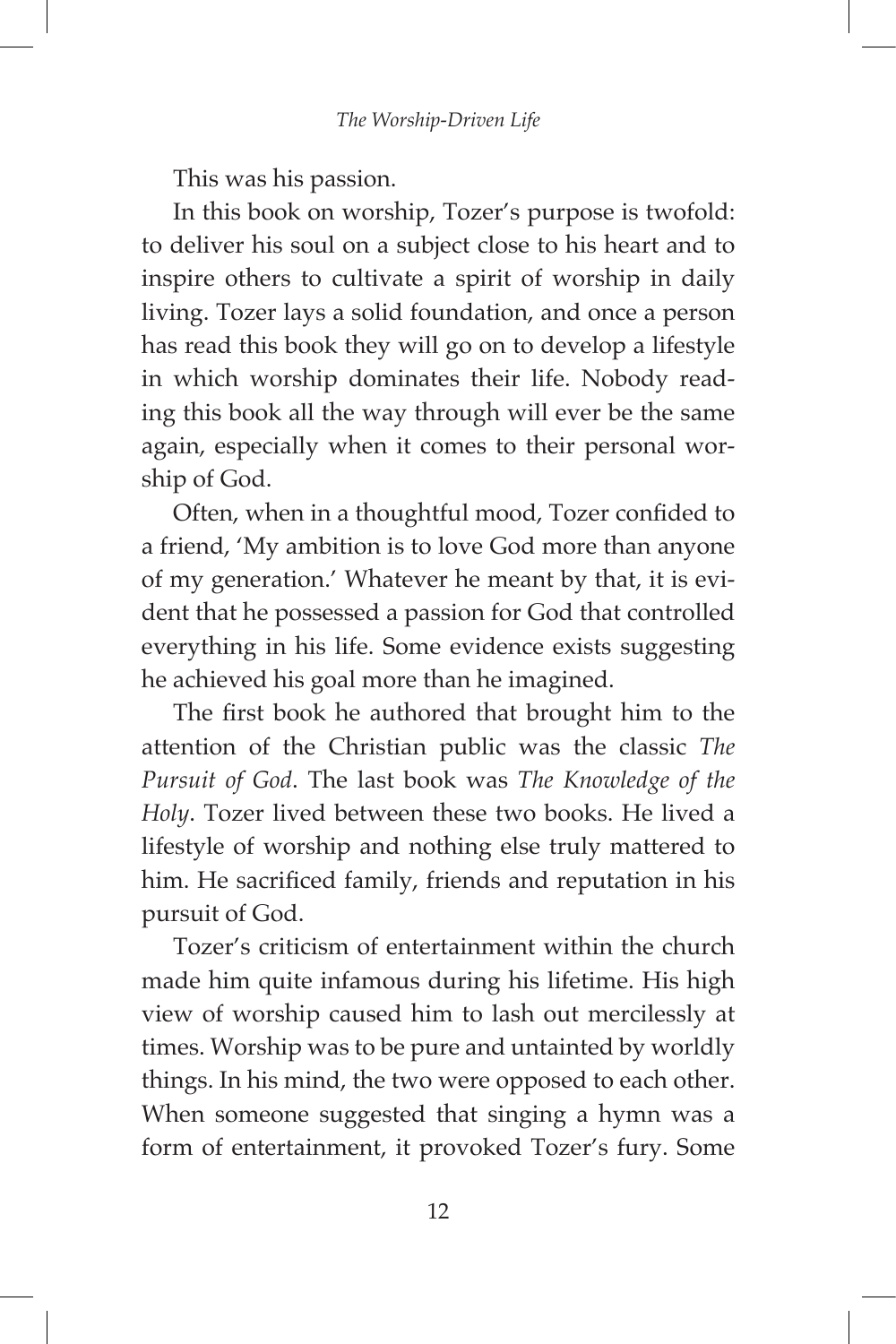This was his passion.

In this book on worship, Tozer's purpose is twofold: to deliver his soul on a subject close to his heart and to inspire others to cultivate a spirit of worship in daily living. Tozer lays a solid foundation, and once a person has read this book they will go on to develop a lifestyle in which worship dominates their life. Nobody reading this book all the way through will ever be the same again, especially when it comes to their personal worship of God.

Often, when in a thoughtful mood, Tozer confided to a friend, 'My ambition is to love God more than anyone of my generation.' Whatever he meant by that, it is evident that he possessed a passion for God that controlled everything in his life. Some evidence exists suggesting he achieved his goal more than he imagined.

The first book he authored that brought him to the attention of the Christian public was the classic *The Pursuit of God*. The last book was *The Knowledge of the Holy*. Tozer lived between these two books. He lived a lifestyle of worship and nothing else truly mattered to him. He sacrificed family, friends and reputation in his pursuit of God.

Tozer's criticism of entertainment within the church made him quite infamous during his lifetime. His high view of worship caused him to lash out mercilessly at times. Worship was to be pure and untainted by worldly things. In his mind, the two were opposed to each other. When someone suggested that singing a hymn was a form of entertainment, it provoked Tozer's fury. Some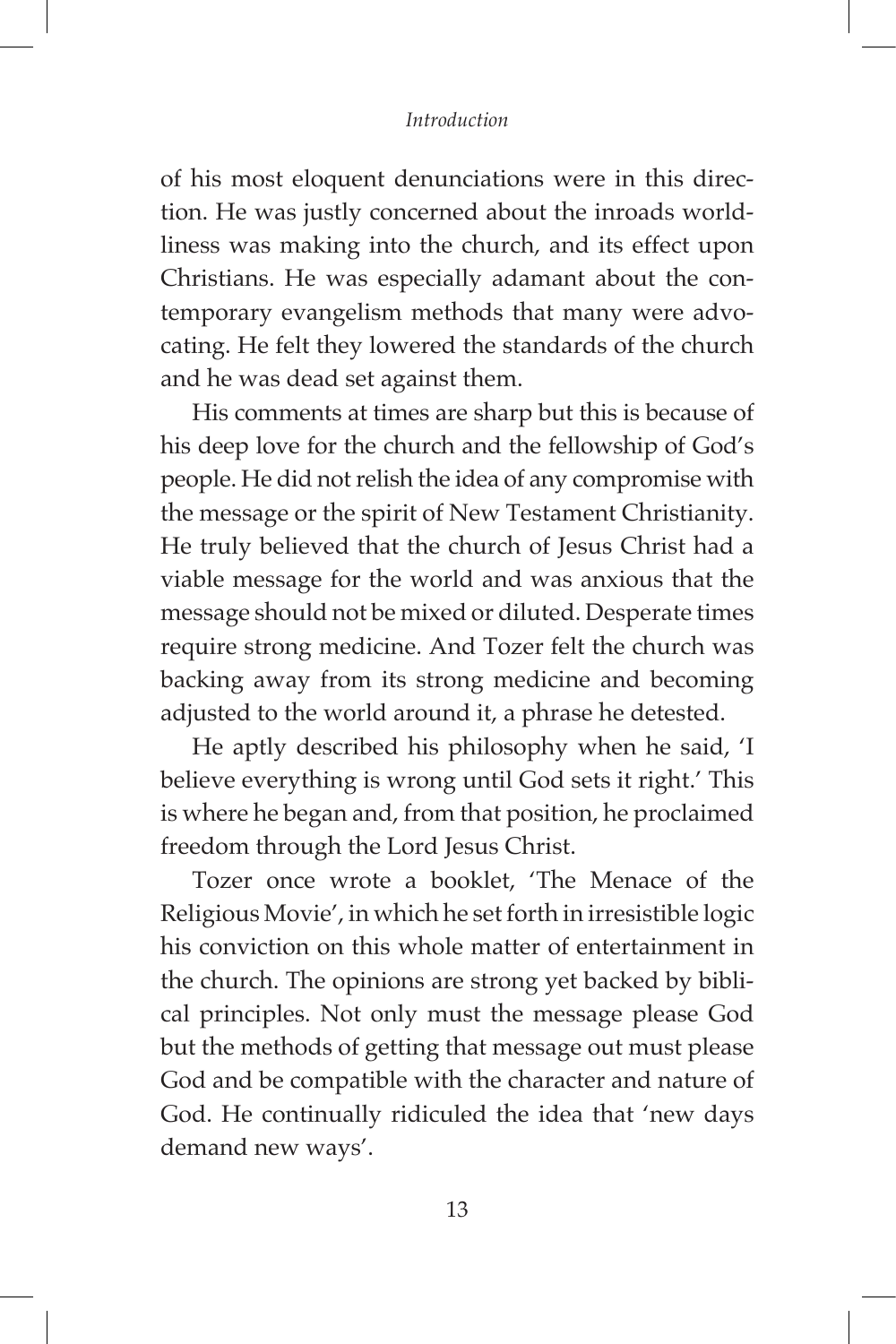#### *Introduction*

of his most eloquent denunciations were in this direction. He was justly concerned about the inroads worldliness was making into the church, and its effect upon Christians. He was especially adamant about the contemporary evangelism methods that many were advocating. He felt they lowered the standards of the church and he was dead set against them.

His comments at times are sharp but this is because of his deep love for the church and the fellowship of God's people. He did not relish the idea of any compromise with the message or the spirit of New Testament Christianity. He truly believed that the church of Jesus Christ had a viable message for the world and was anxious that the message should not be mixed or diluted. Desperate times require strong medicine. And Tozer felt the church was backing away from its strong medicine and becoming adjusted to the world around it, a phrase he detested.

He aptly described his philosophy when he said, 'I believe everything is wrong until God sets it right.' This is where he began and, from that position, he proclaimed freedom through the Lord Jesus Christ.

Tozer once wrote a booklet, 'The Menace of the Religious Movie', in which he set forth in irresistible logic his conviction on this whole matter of entertainment in the church. The opinions are strong yet backed by biblical principles. Not only must the message please God but the methods of getting that message out must please God and be compatible with the character and nature of God. He continually ridiculed the idea that 'new days demand new ways'.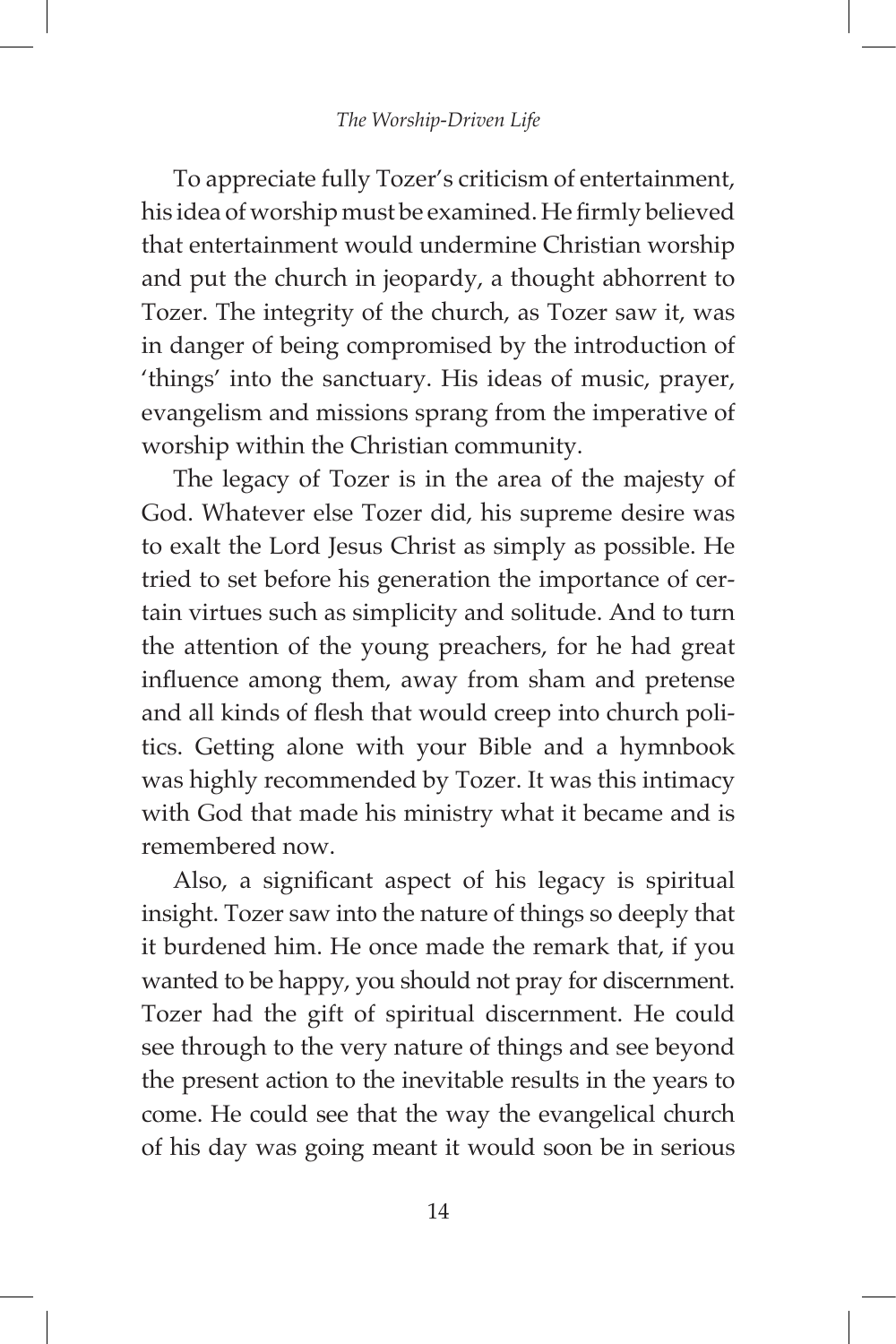To appreciate fully Tozer's criticism of entertainment, his idea of worship must be examined. He firmly believed that entertainment would undermine Christian worship and put the church in jeopardy, a thought abhorrent to Tozer. The integrity of the church, as Tozer saw it, was in danger of being compromised by the introduction of 'things' into the sanctuary. His ideas of music, prayer, evangelism and missions sprang from the imperative of worship within the Christian community.

The legacy of Tozer is in the area of the majesty of God. Whatever else Tozer did, his supreme desire was to exalt the Lord Jesus Christ as simply as possible. He tried to set before his generation the importance of certain virtues such as simplicity and solitude. And to turn the attention of the young preachers, for he had great influence among them, away from sham and pretense and all kinds of flesh that would creep into church politics. Getting alone with your Bible and a hymnbook was highly recommended by Tozer. It was this intimacy with God that made his ministry what it became and is remembered now.

Also, a significant aspect of his legacy is spiritual insight. Tozer saw into the nature of things so deeply that it burdened him. He once made the remark that, if you wanted to be happy, you should not pray for discernment. Tozer had the gift of spiritual discernment. He could see through to the very nature of things and see beyond the present action to the inevitable results in the years to come. He could see that the way the evangelical church of his day was going meant it would soon be in serious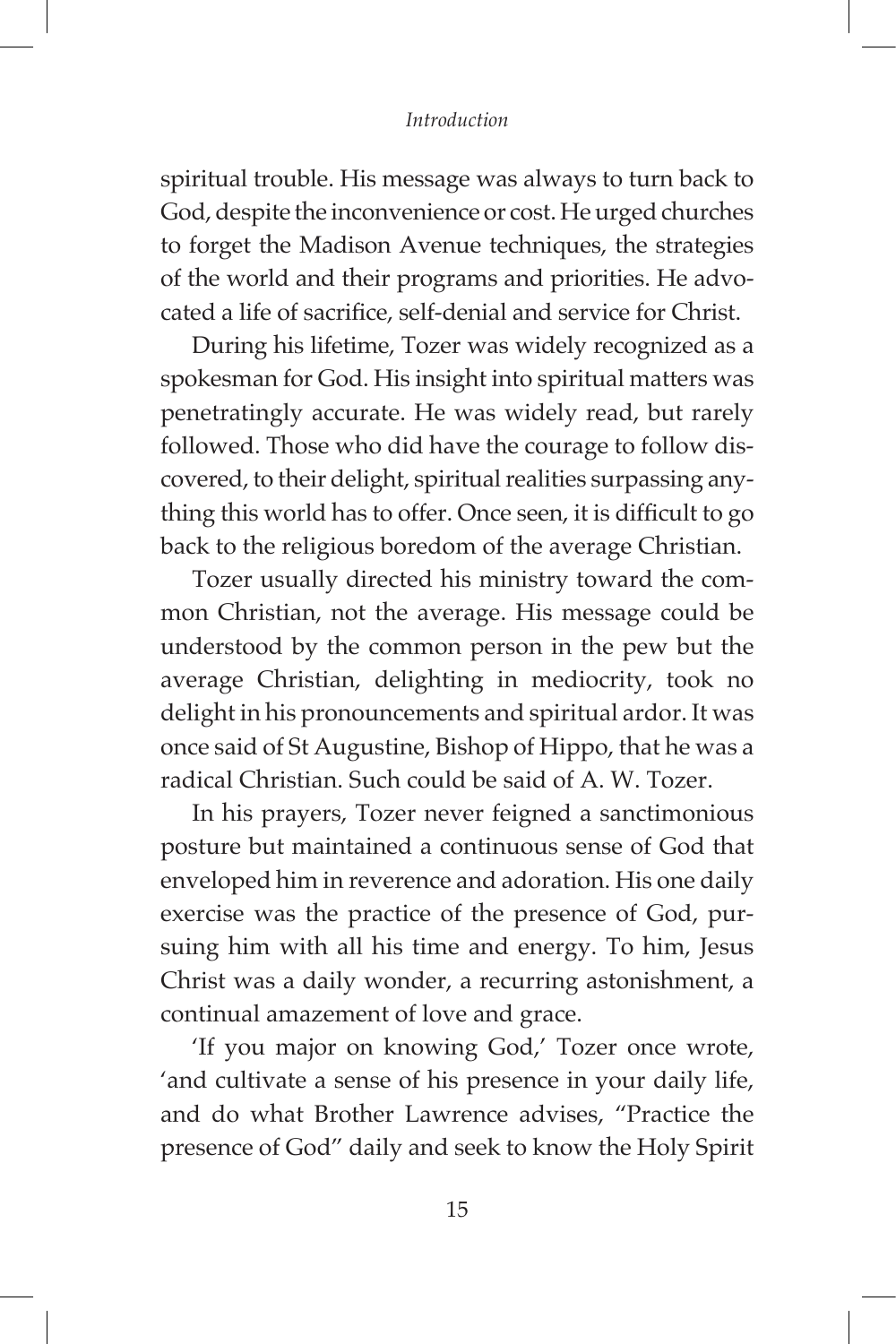#### *Introduction*

spiritual trouble. His message was always to turn back to God, despite the inconvenience or cost. He urged churches to forget the Madison Avenue techniques, the strategies of the world and their programs and priorities. He advocated a life of sacrifice, self-denial and service for Christ.

During his lifetime, Tozer was widely recognized as a spokesman for God. His insight into spiritual matters was penetratingly accurate. He was widely read, but rarely followed. Those who did have the courage to follow discovered, to their delight, spiritual realities surpassing anything this world has to offer. Once seen, it is difficult to go back to the religious boredom of the average Christian.

Tozer usually directed his ministry toward the common Christian, not the average. His message could be understood by the common person in the pew but the average Christian, delighting in mediocrity, took no delight in his pronouncements and spiritual ardor. It was once said of St Augustine, Bishop of Hippo, that he was a radical Christian. Such could be said of A. W. Tozer.

In his prayers, Tozer never feigned a sanctimonious posture but maintained a continuous sense of God that enveloped him in reverence and adoration. His one daily exercise was the practice of the presence of God, pursuing him with all his time and energy. To him, Jesus Christ was a daily wonder, a recurring astonishment, a continual amazement of love and grace.

'If you major on knowing God,' Tozer once wrote, 'and cultivate a sense of his presence in your daily life, and do what Brother Lawrence advises, "Practice the presence of God" daily and seek to know the Holy Spirit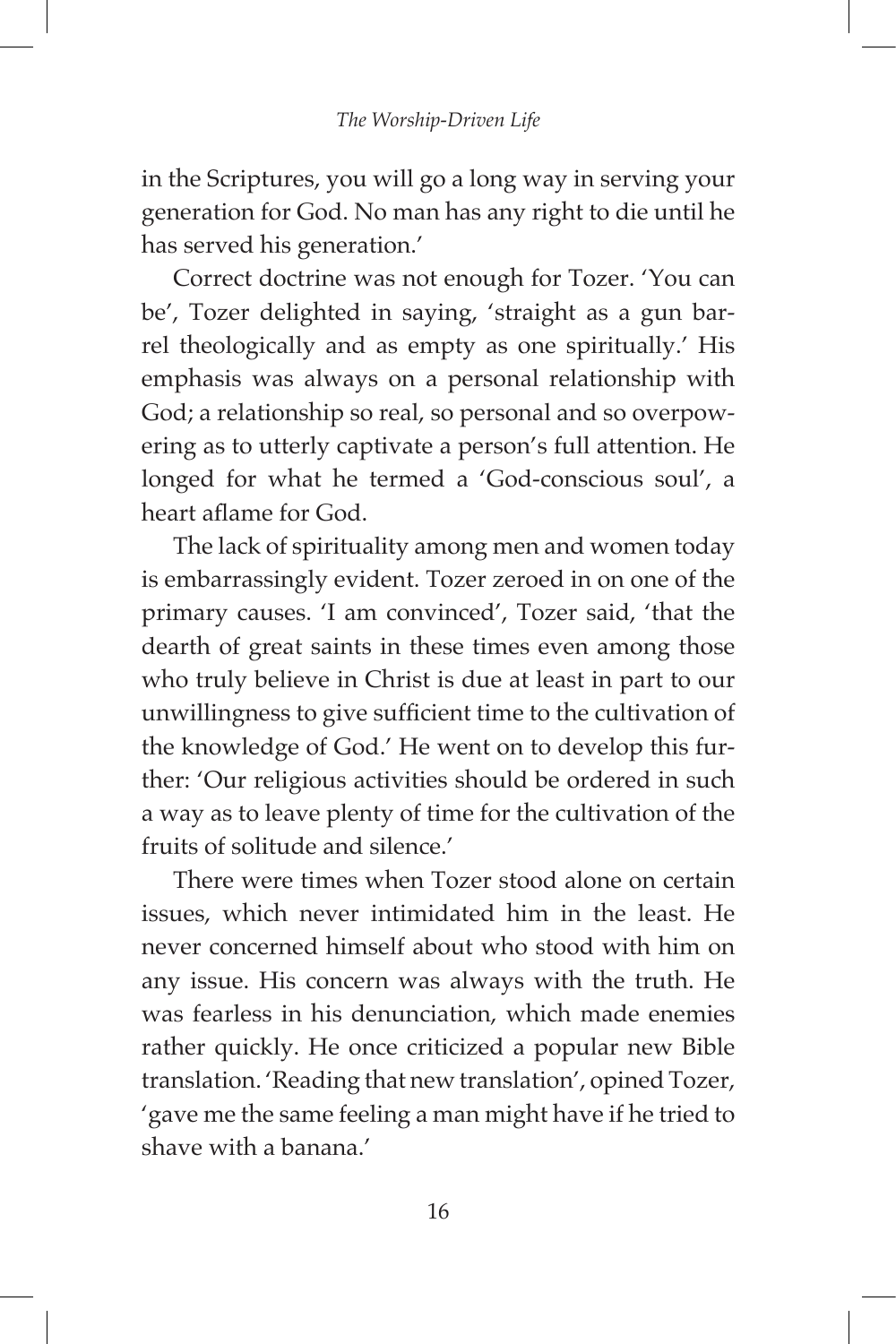in the Scriptures, you will go a long way in serving your generation for God. No man has any right to die until he has served his generation.'

Correct doctrine was not enough for Tozer. 'You can be', Tozer delighted in saying, 'straight as a gun barrel theologically and as empty as one spiritually.' His emphasis was always on a personal relationship with God; a relationship so real, so personal and so overpowering as to utterly captivate a person's full attention. He longed for what he termed a 'God-conscious soul', a heart aflame for God.

The lack of spirituality among men and women today is embarrassingly evident. Tozer zeroed in on one of the primary causes. 'I am convinced', Tozer said, 'that the dearth of great saints in these times even among those who truly believe in Christ is due at least in part to our unwillingness to give sufficient time to the cultivation of the knowledge of God.' He went on to develop this further: 'Our religious activities should be ordered in such a way as to leave plenty of time for the cultivation of the fruits of solitude and silence.'

There were times when Tozer stood alone on certain issues, which never intimidated him in the least. He never concerned himself about who stood with him on any issue. His concern was always with the truth. He was fearless in his denunciation, which made enemies rather quickly. He once criticized a popular new Bible translation. 'Reading that new translation', opined Tozer, 'gave me the same feeling a man might have if he tried to shave with a banana.'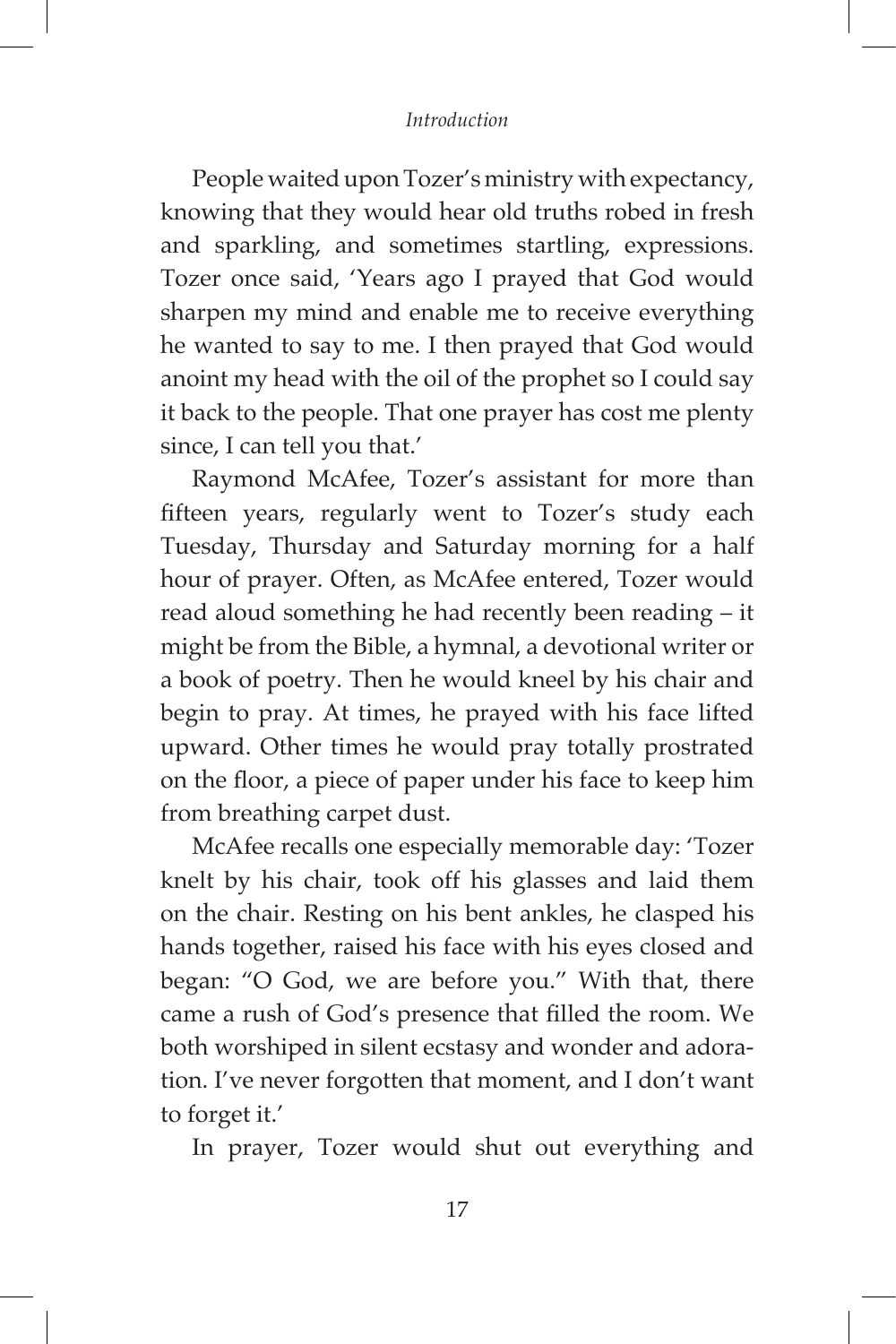#### *Introduction*

People waited upon Tozer's ministry with expectancy, knowing that they would hear old truths robed in fresh and sparkling, and sometimes startling, expressions. Tozer once said, 'Years ago I prayed that God would sharpen my mind and enable me to receive everything he wanted to say to me. I then prayed that God would anoint my head with the oil of the prophet so I could say it back to the people. That one prayer has cost me plenty since, I can tell you that.'

Raymond McAfee, Tozer's assistant for more than fifteen years, regularly went to Tozer's study each Tuesday, Thursday and Saturday morning for a half hour of prayer. Often, as McAfee entered, Tozer would read aloud something he had recently been reading – it might be from the Bible, a hymnal, a devotional writer or a book of poetry. Then he would kneel by his chair and begin to pray. At times, he prayed with his face lifted upward. Other times he would pray totally prostrated on the floor, a piece of paper under his face to keep him from breathing carpet dust.

McAfee recalls one especially memorable day: 'Tozer knelt by his chair, took off his glasses and laid them on the chair. Resting on his bent ankles, he clasped his hands together, raised his face with his eyes closed and began: "O God, we are before you." With that, there came a rush of God's presence that filled the room. We both worshiped in silent ecstasy and wonder and adoration. I've never forgotten that moment, and I don't want to forget it.'

In prayer, Tozer would shut out everything and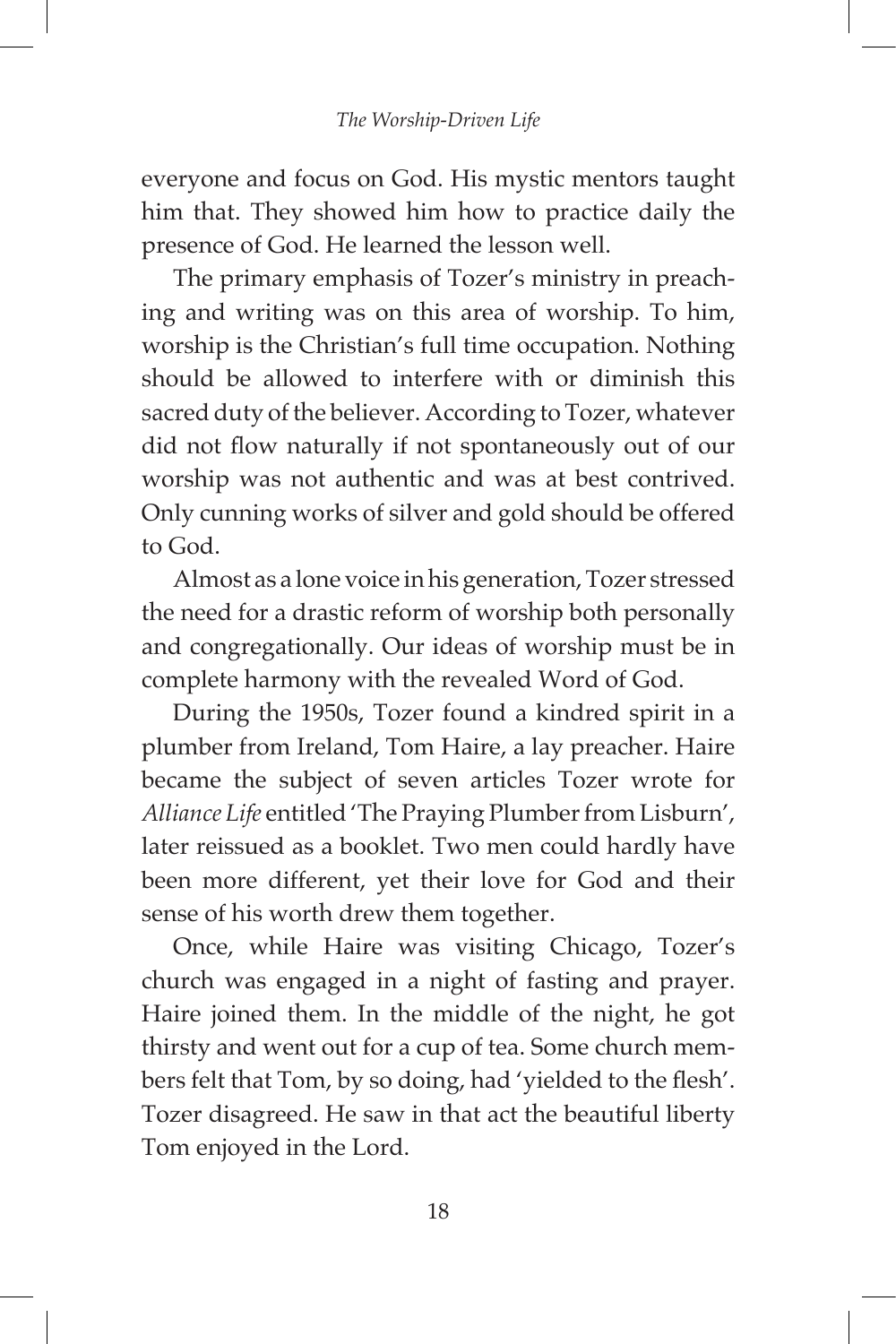everyone and focus on God. His mystic mentors taught him that. They showed him how to practice daily the presence of God. He learned the lesson well.

The primary emphasis of Tozer's ministry in preaching and writing was on this area of worship. To him, worship is the Christian's full time occupation. Nothing should be allowed to interfere with or diminish this sacred duty of the believer. According to Tozer, whatever did not flow naturally if not spontaneously out of our worship was not authentic and was at best contrived. Only cunning works of silver and gold should be offered to God.

Almost as a lone voice in his generation, Tozer stressed the need for a drastic reform of worship both personally and congregationally. Our ideas of worship must be in complete harmony with the revealed Word of God.

During the 1950s, Tozer found a kindred spirit in a plumber from Ireland, Tom Haire, a lay preacher. Haire became the subject of seven articles Tozer wrote for *Alliance Life* entitled 'The Praying Plumber from Lisburn', later reissued as a booklet. Two men could hardly have been more different, yet their love for God and their sense of his worth drew them together.

Once, while Haire was visiting Chicago, Tozer's church was engaged in a night of fasting and prayer. Haire joined them. In the middle of the night, he got thirsty and went out for a cup of tea. Some church members felt that Tom, by so doing, had 'yielded to the flesh'. Tozer disagreed. He saw in that act the beautiful liberty Tom enjoyed in the Lord.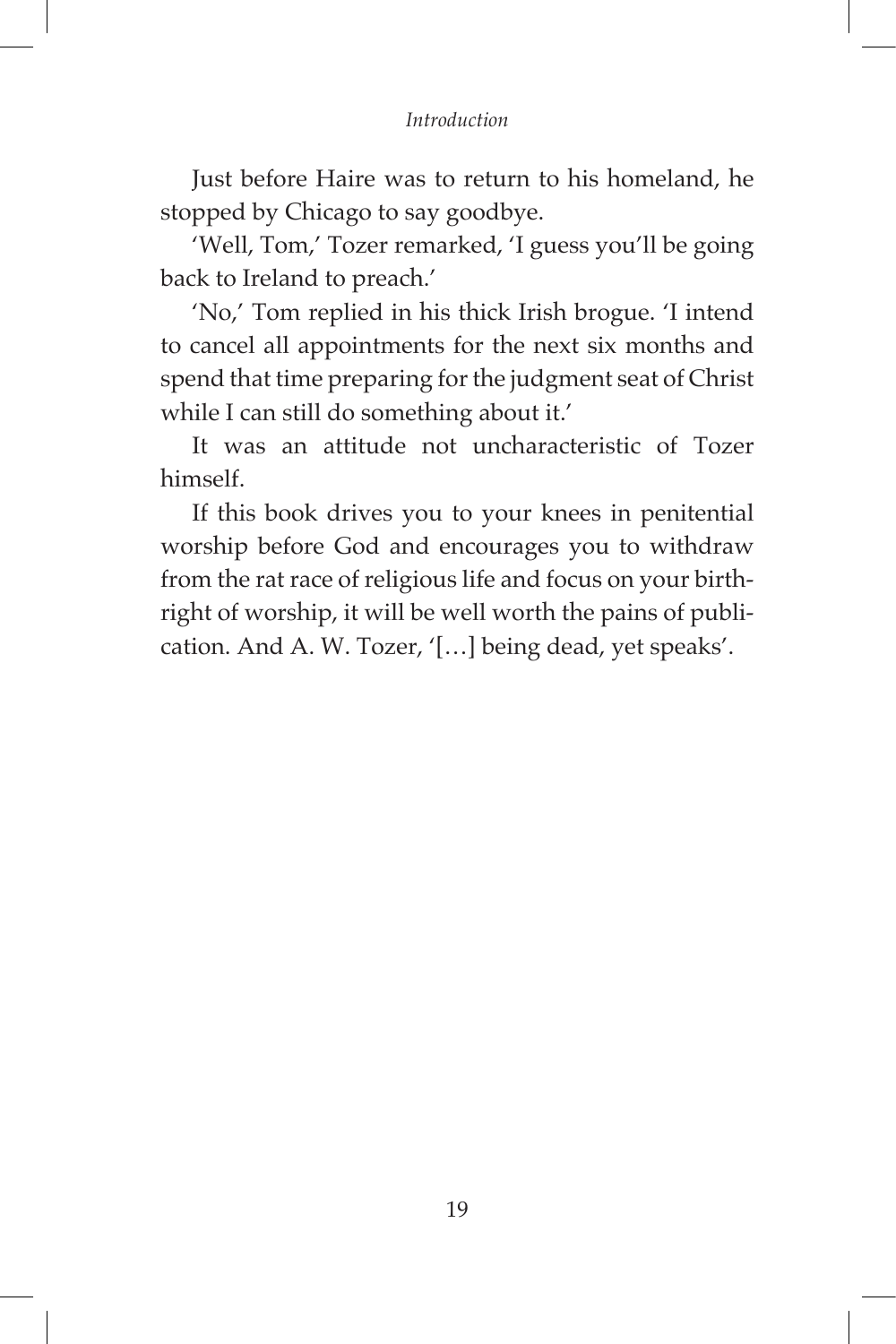#### *Introduction*

Just before Haire was to return to his homeland, he stopped by Chicago to say goodbye.

'Well, Tom,' Tozer remarked, 'I guess you'll be going back to Ireland to preach.'

'No,' Tom replied in his thick Irish brogue. 'I intend to cancel all appointments for the next six months and spend that time preparing for the judgment seat of Christ while I can still do something about it.'

It was an attitude not uncharacteristic of Tozer himself.

If this book drives you to your knees in penitential worship before God and encourages you to withdraw from the rat race of religious life and focus on your birthright of worship, it will be well worth the pains of publication. And A. W. Tozer, '[…] being dead, yet speaks'.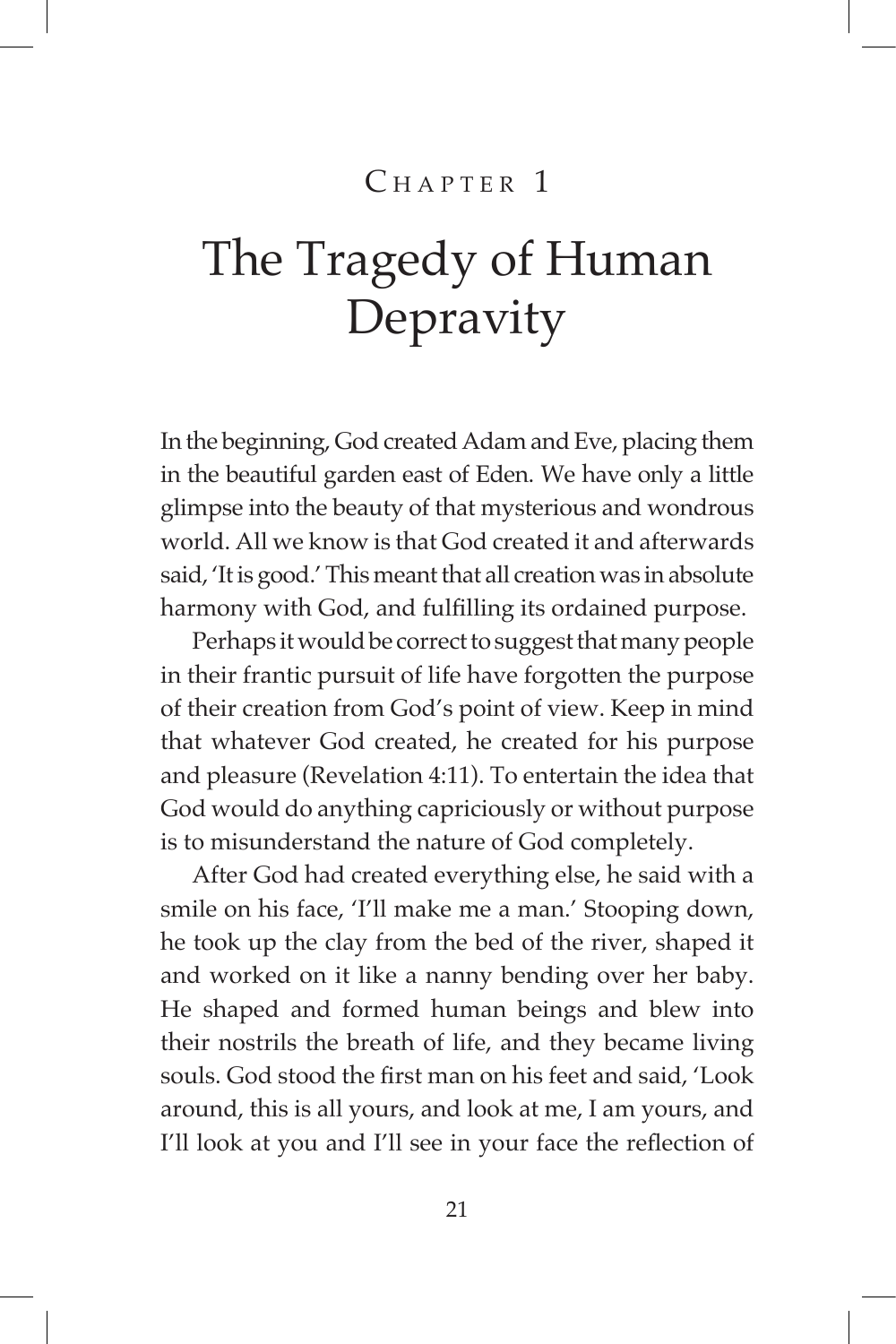## $CHAPTER$ <sup>1</sup>

## The Tragedy of Human Depravity

In the beginning, God created Adam and Eve, placing them in the beautiful garden east of Eden. We have only a little glimpse into the beauty of that mysterious and wondrous world. All we know is that God created it and afterwards said, 'It is good.' This meant that all creation was in absolute harmony with God, and fulfilling its ordained purpose.

Perhaps it would be correct to suggest that many people in their frantic pursuit of life have forgotten the purpose of their creation from God's point of view. Keep in mind that whatever God created, he created for his purpose and pleasure (Revelation 4:11). To entertain the idea that God would do anything capriciously or without purpose is to misunderstand the nature of God completely.

After God had created everything else, he said with a smile on his face, 'I'll make me a man.' Stooping down, he took up the clay from the bed of the river, shaped it and worked on it like a nanny bending over her baby. He shaped and formed human beings and blew into their nostrils the breath of life, and they became living souls. God stood the first man on his feet and said, 'Look around, this is all yours, and look at me, I am yours, and I'll look at you and I'll see in your face the reflection of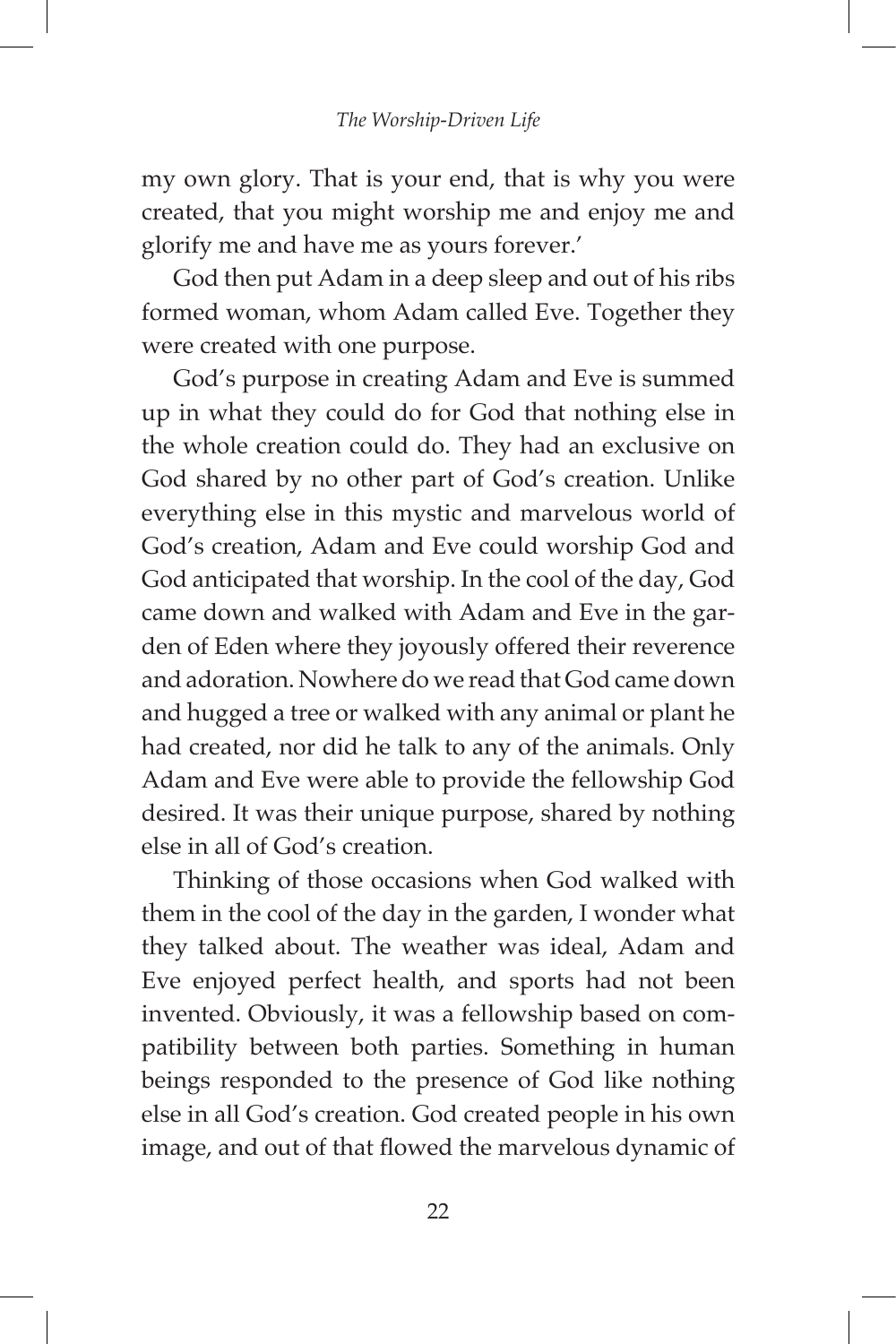my own glory. That is your end, that is why you were created, that you might worship me and enjoy me and glorify me and have me as yours forever.'

God then put Adam in a deep sleep and out of his ribs formed woman, whom Adam called Eve. Together they were created with one purpose.

God's purpose in creating Adam and Eve is summed up in what they could do for God that nothing else in the whole creation could do. They had an exclusive on God shared by no other part of God's creation. Unlike everything else in this mystic and marvelous world of God's creation, Adam and Eve could worship God and God anticipated that worship. In the cool of the day, God came down and walked with Adam and Eve in the garden of Eden where they joyously offered their reverence and adoration. Nowhere do we read that God came down and hugged a tree or walked with any animal or plant he had created, nor did he talk to any of the animals. Only Adam and Eve were able to provide the fellowship God desired. It was their unique purpose, shared by nothing else in all of God's creation.

Thinking of those occasions when God walked with them in the cool of the day in the garden, I wonder what they talked about. The weather was ideal, Adam and Eve enjoyed perfect health, and sports had not been invented. Obviously, it was a fellowship based on compatibility between both parties. Something in human beings responded to the presence of God like nothing else in all God's creation. God created people in his own image, and out of that flowed the marvelous dynamic of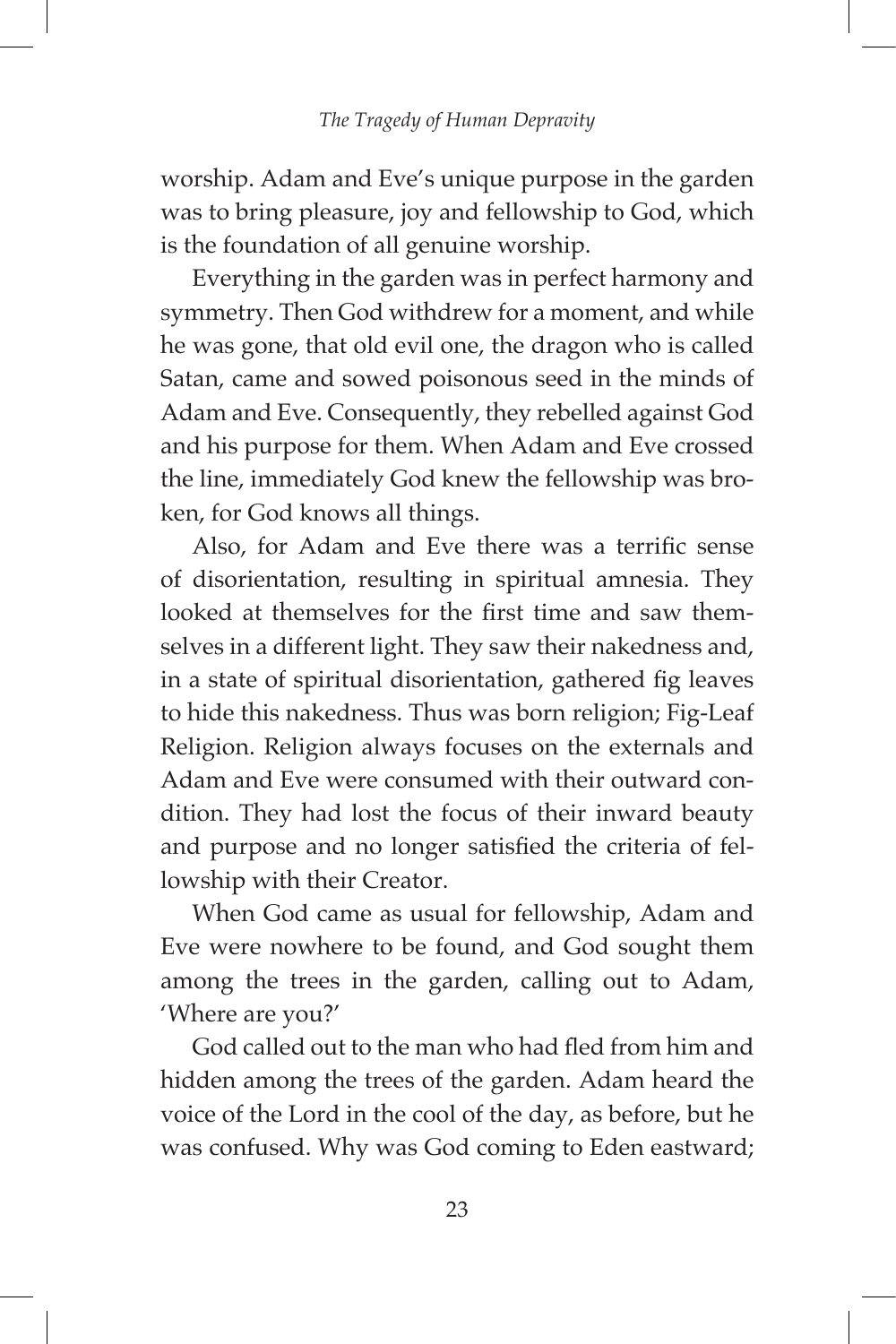worship. Adam and Eve's unique purpose in the garden was to bring pleasure, joy and fellowship to God, which is the foundation of all genuine worship.

Everything in the garden was in perfect harmony and symmetry. Then God withdrew for a moment, and while he was gone, that old evil one, the dragon who is called Satan, came and sowed poisonous seed in the minds of Adam and Eve. Consequently, they rebelled against God and his purpose for them. When Adam and Eve crossed the line, immediately God knew the fellowship was broken, for God knows all things.

Also, for Adam and Eve there was a terrific sense of disorientation, resulting in spiritual amnesia. They looked at themselves for the first time and saw themselves in a different light. They saw their nakedness and, in a state of spiritual disorientation, gathered fig leaves to hide this nakedness. Thus was born religion; Fig-Leaf Religion. Religion always focuses on the externals and Adam and Eve were consumed with their outward condition. They had lost the focus of their inward beauty and purpose and no longer satisfied the criteria of fellowship with their Creator.

When God came as usual for fellowship, Adam and Eve were nowhere to be found, and God sought them among the trees in the garden, calling out to Adam, 'Where are you?'

God called out to the man who had fled from him and hidden among the trees of the garden. Adam heard the voice of the Lord in the cool of the day, as before, but he was confused. Why was God coming to Eden eastward;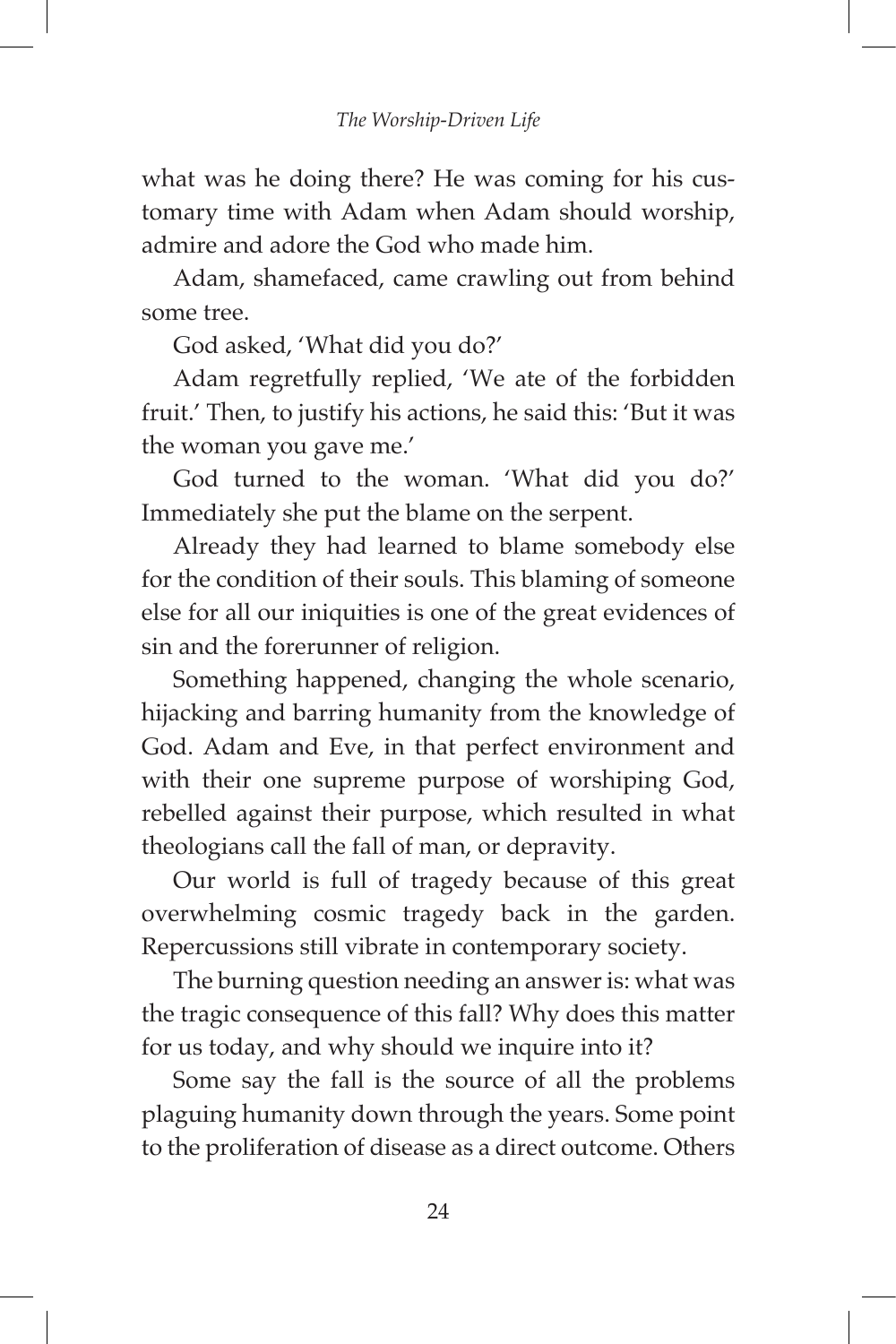what was he doing there? He was coming for his customary time with Adam when Adam should worship, admire and adore the God who made him.

Adam, shamefaced, came crawling out from behind some tree.

God asked, 'What did you do?'

Adam regretfully replied, 'We ate of the forbidden fruit.' Then, to justify his actions, he said this: 'But it was the woman you gave me.'

God turned to the woman. 'What did you do?' Immediately she put the blame on the serpent.

Already they had learned to blame somebody else for the condition of their souls. This blaming of someone else for all our iniquities is one of the great evidences of sin and the forerunner of religion.

Something happened, changing the whole scenario, hijacking and barring humanity from the knowledge of God. Adam and Eve, in that perfect environment and with their one supreme purpose of worshiping God, rebelled against their purpose, which resulted in what theologians call the fall of man, or depravity.

Our world is full of tragedy because of this great overwhelming cosmic tragedy back in the garden. Repercussions still vibrate in contemporary society.

The burning question needing an answer is: what was the tragic consequence of this fall? Why does this matter for us today, and why should we inquire into it?

Some say the fall is the source of all the problems plaguing humanity down through the years. Some point to the proliferation of disease as a direct outcome. Others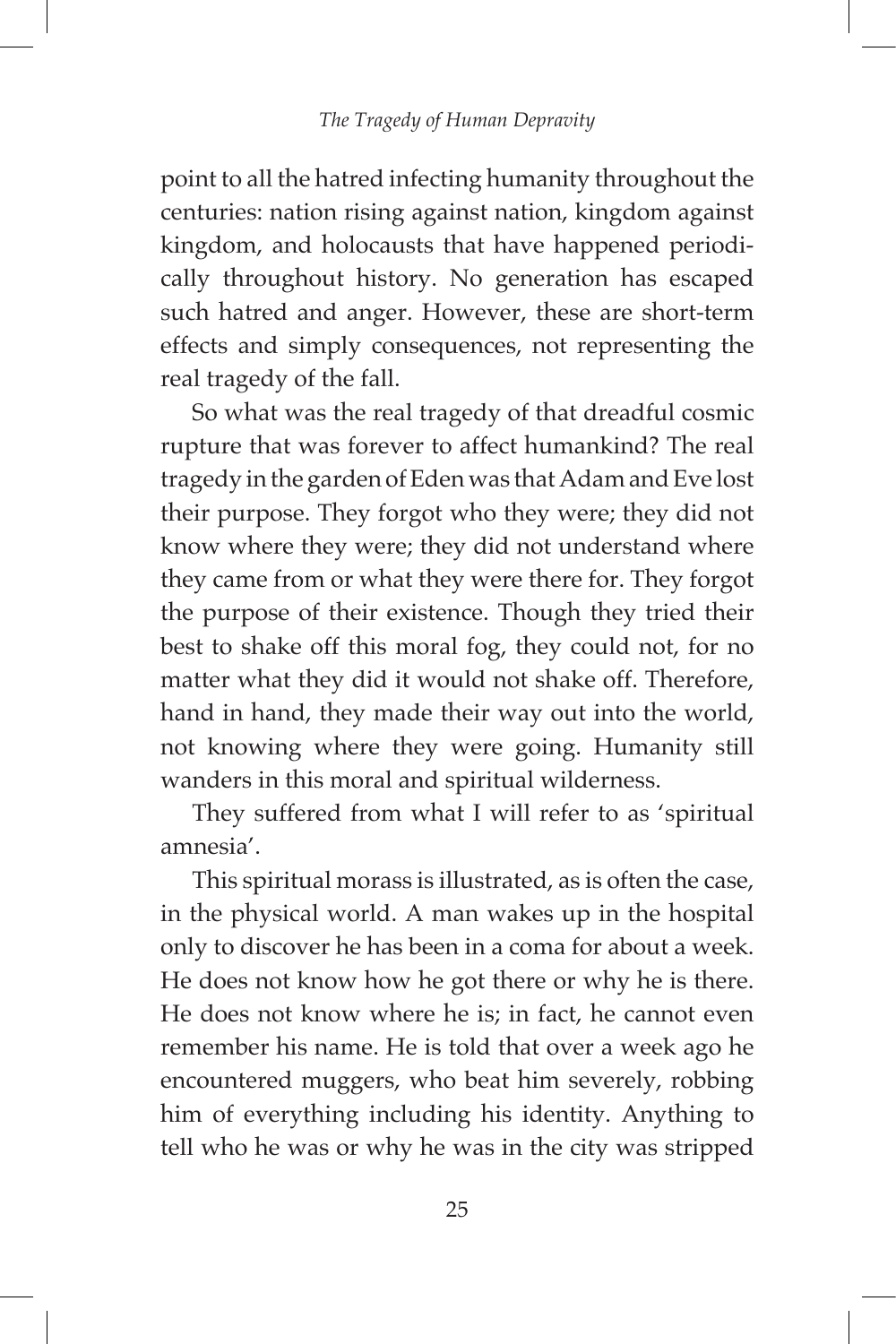point to all the hatred infecting humanity throughout the centuries: nation rising against nation, kingdom against kingdom, and holocausts that have happened periodically throughout history. No generation has escaped such hatred and anger. However, these are short-term effects and simply consequences, not representing the real tragedy of the fall.

So what was the real tragedy of that dreadful cosmic rupture that was forever to affect humankind? The real tragedy in the garden of Eden was that Adam and Eve lost their purpose. They forgot who they were; they did not know where they were; they did not understand where they came from or what they were there for. They forgot the purpose of their existence. Though they tried their best to shake off this moral fog, they could not, for no matter what they did it would not shake off. Therefore, hand in hand, they made their way out into the world, not knowing where they were going. Humanity still wanders in this moral and spiritual wilderness.

They suffered from what I will refer to as 'spiritual amnesia'.

This spiritual morass is illustrated, as is often the case, in the physical world. A man wakes up in the hospital only to discover he has been in a coma for about a week. He does not know how he got there or why he is there. He does not know where he is; in fact, he cannot even remember his name. He is told that over a week ago he encountered muggers, who beat him severely, robbing him of everything including his identity. Anything to tell who he was or why he was in the city was stripped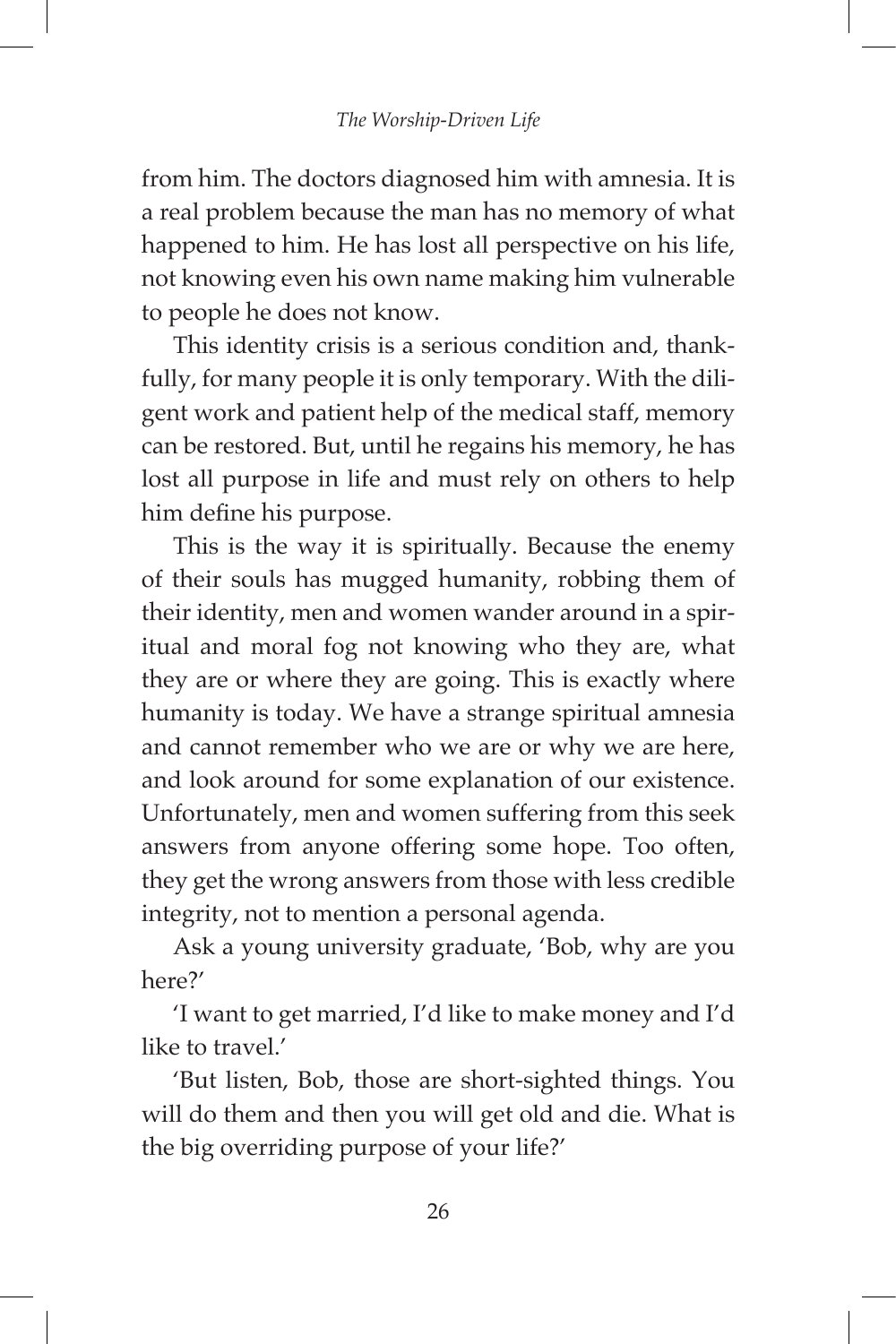from him. The doctors diagnosed him with amnesia. It is a real problem because the man has no memory of what happened to him. He has lost all perspective on his life, not knowing even his own name making him vulnerable to people he does not know.

This identity crisis is a serious condition and, thankfully, for many people it is only temporary. With the diligent work and patient help of the medical staff, memory can be restored. But, until he regains his memory, he has lost all purpose in life and must rely on others to help him define his purpose.

This is the way it is spiritually. Because the enemy of their souls has mugged humanity, robbing them of their identity, men and women wander around in a spiritual and moral fog not knowing who they are, what they are or where they are going. This is exactly where humanity is today. We have a strange spiritual amnesia and cannot remember who we are or why we are here, and look around for some explanation of our existence. Unfortunately, men and women suffering from this seek answers from anyone offering some hope. Too often, they get the wrong answers from those with less credible integrity, not to mention a personal agenda.

Ask a young university graduate, 'Bob, why are you here?'

'I want to get married, I'd like to make money and I'd like to travel.'

'But listen, Bob, those are short-sighted things. You will do them and then you will get old and die. What is the big overriding purpose of your life?'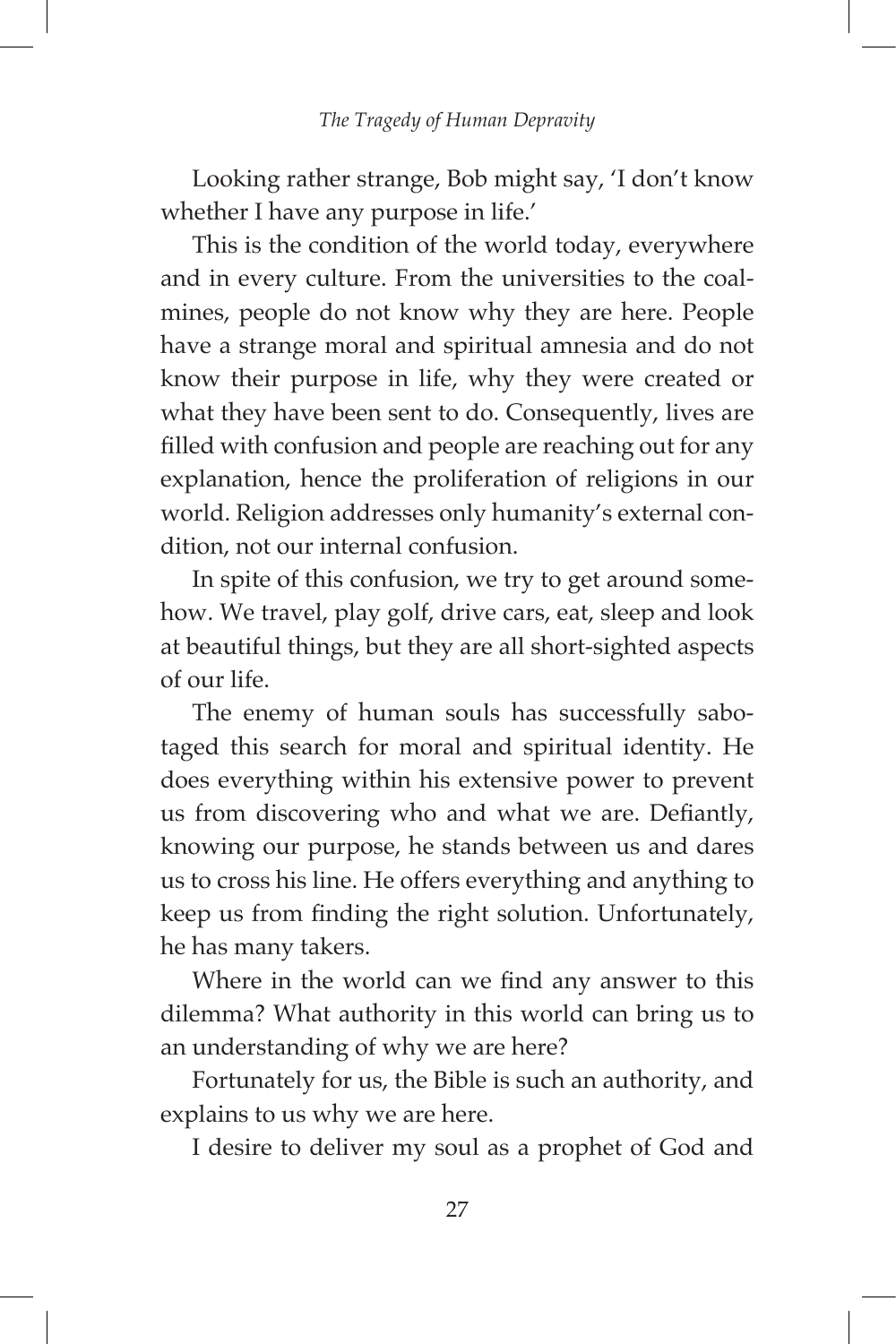Looking rather strange, Bob might say, 'I don't know whether I have any purpose in life.'

This is the condition of the world today, everywhere and in every culture. From the universities to the coalmines, people do not know why they are here. People have a strange moral and spiritual amnesia and do not know their purpose in life, why they were created or what they have been sent to do. Consequently, lives are filled with confusion and people are reaching out for any explanation, hence the proliferation of religions in our world. Religion addresses only humanity's external condition, not our internal confusion.

In spite of this confusion, we try to get around somehow. We travel, play golf, drive cars, eat, sleep and look at beautiful things, but they are all short-sighted aspects of our life.

The enemy of human souls has successfully sabotaged this search for moral and spiritual identity. He does everything within his extensive power to prevent us from discovering who and what we are. Defiantly, knowing our purpose, he stands between us and dares us to cross his line. He offers everything and anything to keep us from finding the right solution. Unfortunately, he has many takers.

Where in the world can we find any answer to this dilemma? What authority in this world can bring us to an understanding of why we are here?

Fortunately for us, the Bible is such an authority, and explains to us why we are here.

I desire to deliver my soul as a prophet of God and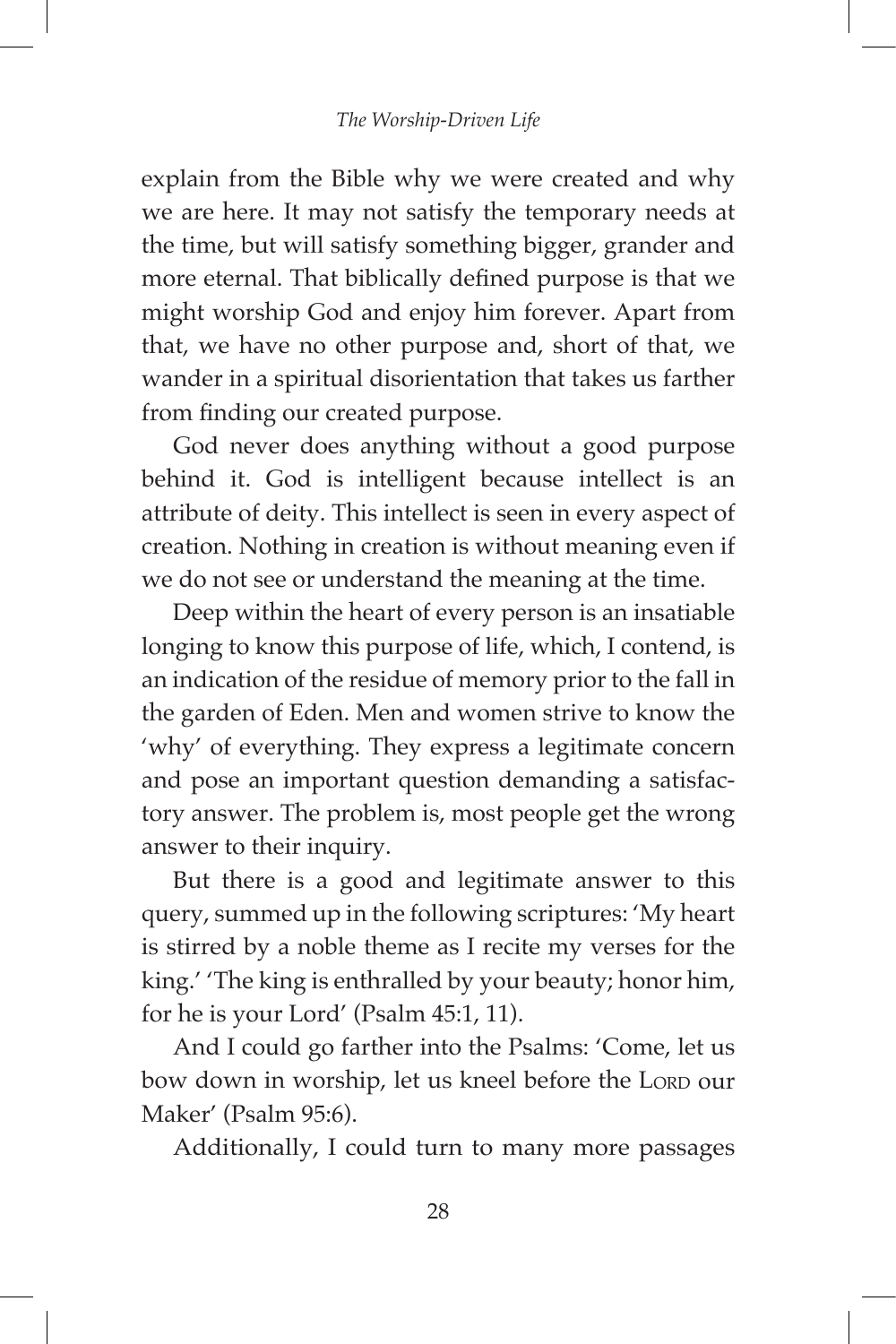explain from the Bible why we were created and why we are here. It may not satisfy the temporary needs at the time, but will satisfy something bigger, grander and more eternal. That biblically defined purpose is that we might worship God and enjoy him forever. Apart from that, we have no other purpose and, short of that, we wander in a spiritual disorientation that takes us farther from finding our created purpose.

God never does anything without a good purpose behind it. God is intelligent because intellect is an attribute of deity. This intellect is seen in every aspect of creation. Nothing in creation is without meaning even if we do not see or understand the meaning at the time.

Deep within the heart of every person is an insatiable longing to know this purpose of life, which, I contend, is an indication of the residue of memory prior to the fall in the garden of Eden. Men and women strive to know the 'why' of everything. They express a legitimate concern and pose an important question demanding a satisfactory answer. The problem is, most people get the wrong answer to their inquiry.

But there is a good and legitimate answer to this query, summed up in the following scriptures: 'My heart is stirred by a noble theme as I recite my verses for the king.' 'The king is enthralled by your beauty; honor him, for he is your Lord' (Psalm 45:1, 11).

And I could go farther into the Psalms: 'Come, let us bow down in worship, let us kneel before the LORD our Maker' (Psalm 95:6).

Additionally, I could turn to many more passages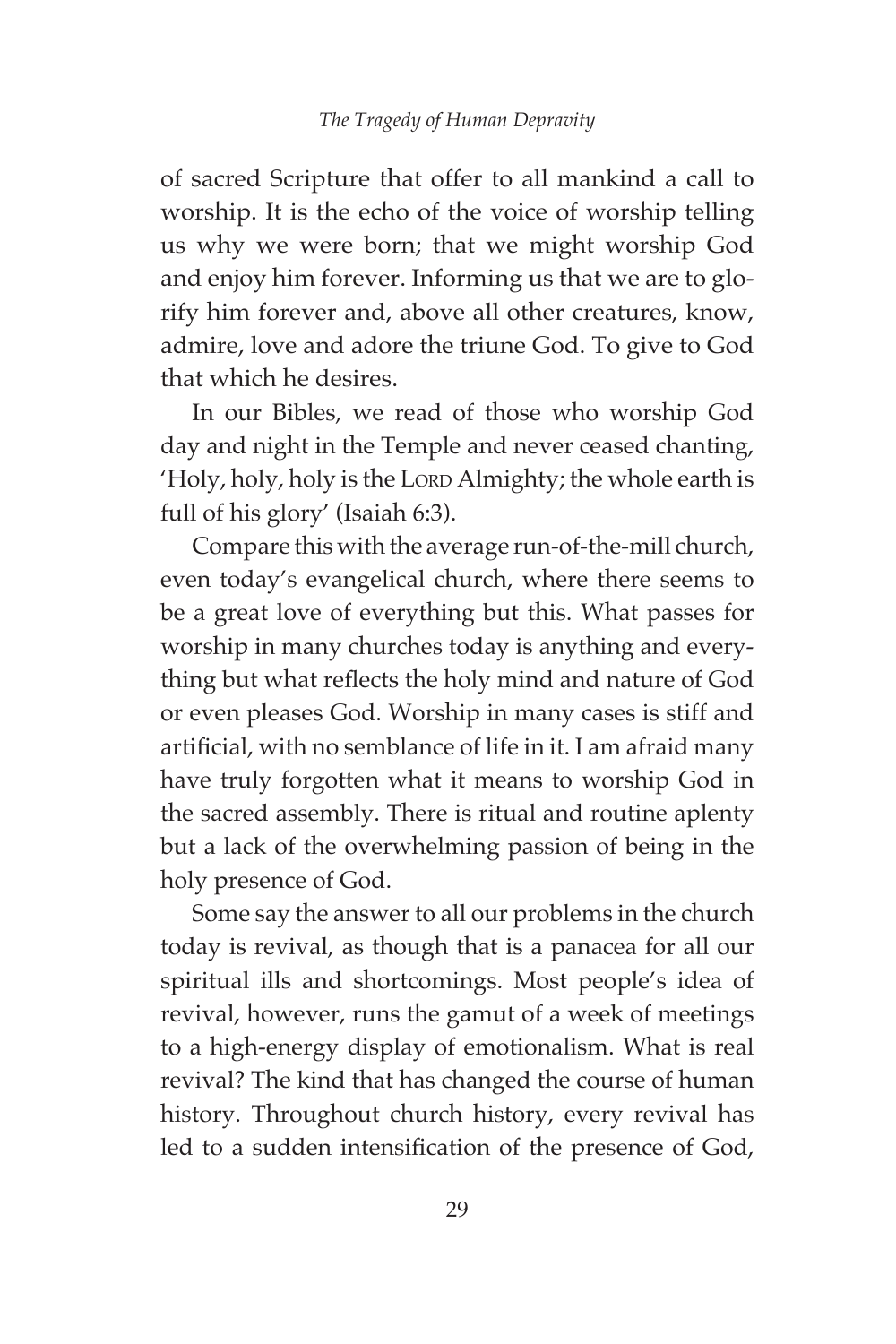of sacred Scripture that offer to all mankind a call to worship. It is the echo of the voice of worship telling us why we were born; that we might worship God and enjoy him forever. Informing us that we are to glorify him forever and, above all other creatures, know, admire, love and adore the triune God. To give to God that which he desires.

In our Bibles, we read of those who worship God day and night in the Temple and never ceased chanting, 'Holy, holy, holy is the Lorp Almighty; the whole earth is full of his glory' (Isaiah 6:3).

Compare this with the average run-of-the-mill church, even today's evangelical church, where there seems to be a great love of everything but this. What passes for worship in many churches today is anything and everything but what reflects the holy mind and nature of God or even pleases God. Worship in many cases is stiff and artificial, with no semblance of life in it. I am afraid many have truly forgotten what it means to worship God in the sacred assembly. There is ritual and routine aplenty but a lack of the overwhelming passion of being in the holy presence of God.

Some say the answer to all our problems in the church today is revival, as though that is a panacea for all our spiritual ills and shortcomings. Most people's idea of revival, however, runs the gamut of a week of meetings to a high-energy display of emotionalism. What is real revival? The kind that has changed the course of human history. Throughout church history, every revival has led to a sudden intensification of the presence of God,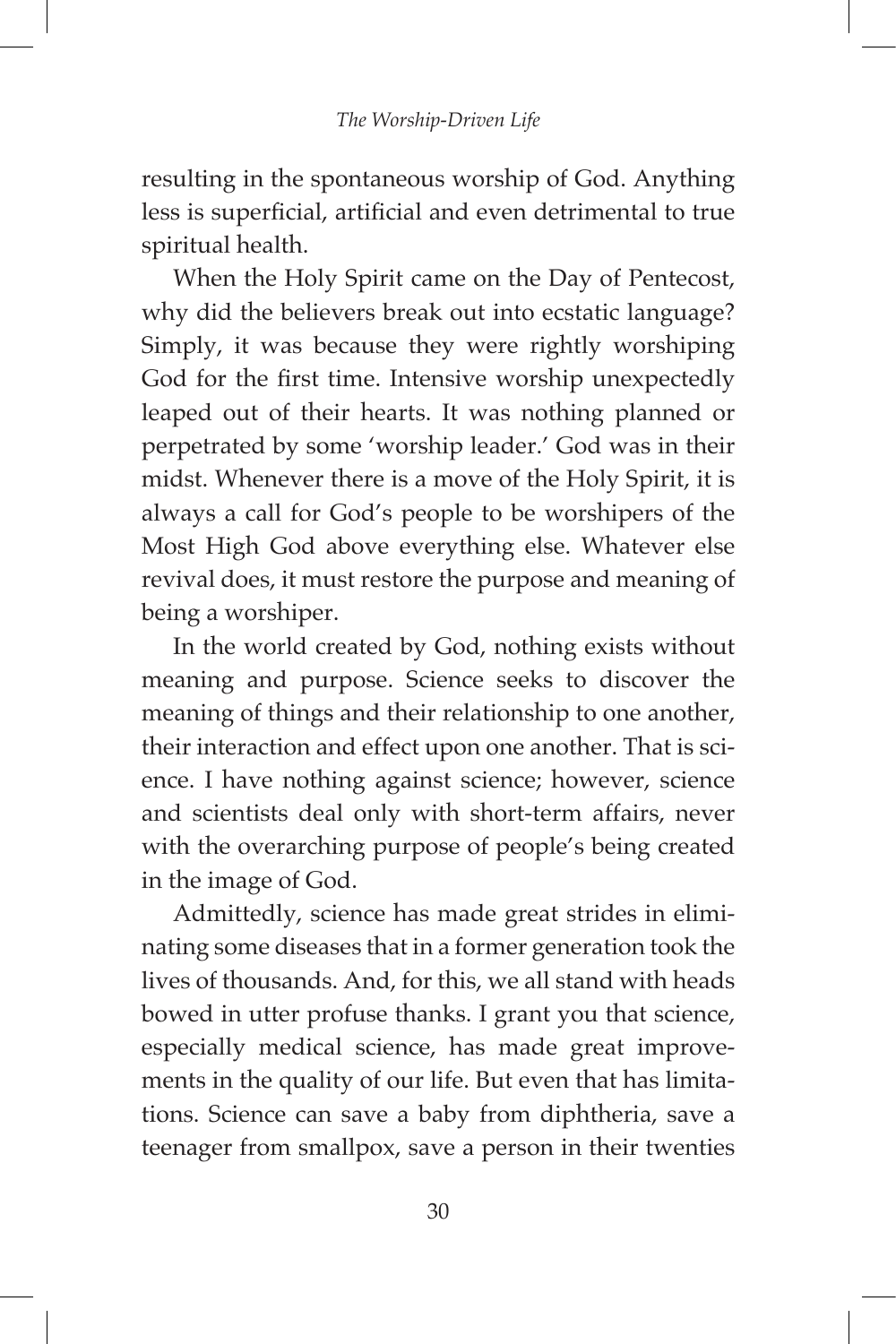resulting in the spontaneous worship of God. Anything less is superficial, artificial and even detrimental to true spiritual health.

When the Holy Spirit came on the Day of Pentecost, why did the believers break out into ecstatic language? Simply, it was because they were rightly worshiping God for the first time. Intensive worship unexpectedly leaped out of their hearts. It was nothing planned or perpetrated by some 'worship leader.' God was in their midst. Whenever there is a move of the Holy Spirit, it is always a call for God's people to be worshipers of the Most High God above everything else. Whatever else revival does, it must restore the purpose and meaning of being a worshiper.

In the world created by God, nothing exists without meaning and purpose. Science seeks to discover the meaning of things and their relationship to one another, their interaction and effect upon one another. That is science. I have nothing against science; however, science and scientists deal only with short-term affairs, never with the overarching purpose of people's being created in the image of God.

Admittedly, science has made great strides in eliminating some diseases that in a former generation took the lives of thousands. And, for this, we all stand with heads bowed in utter profuse thanks. I grant you that science, especially medical science, has made great improvements in the quality of our life. But even that has limitations. Science can save a baby from diphtheria, save a teenager from smallpox, save a person in their twenties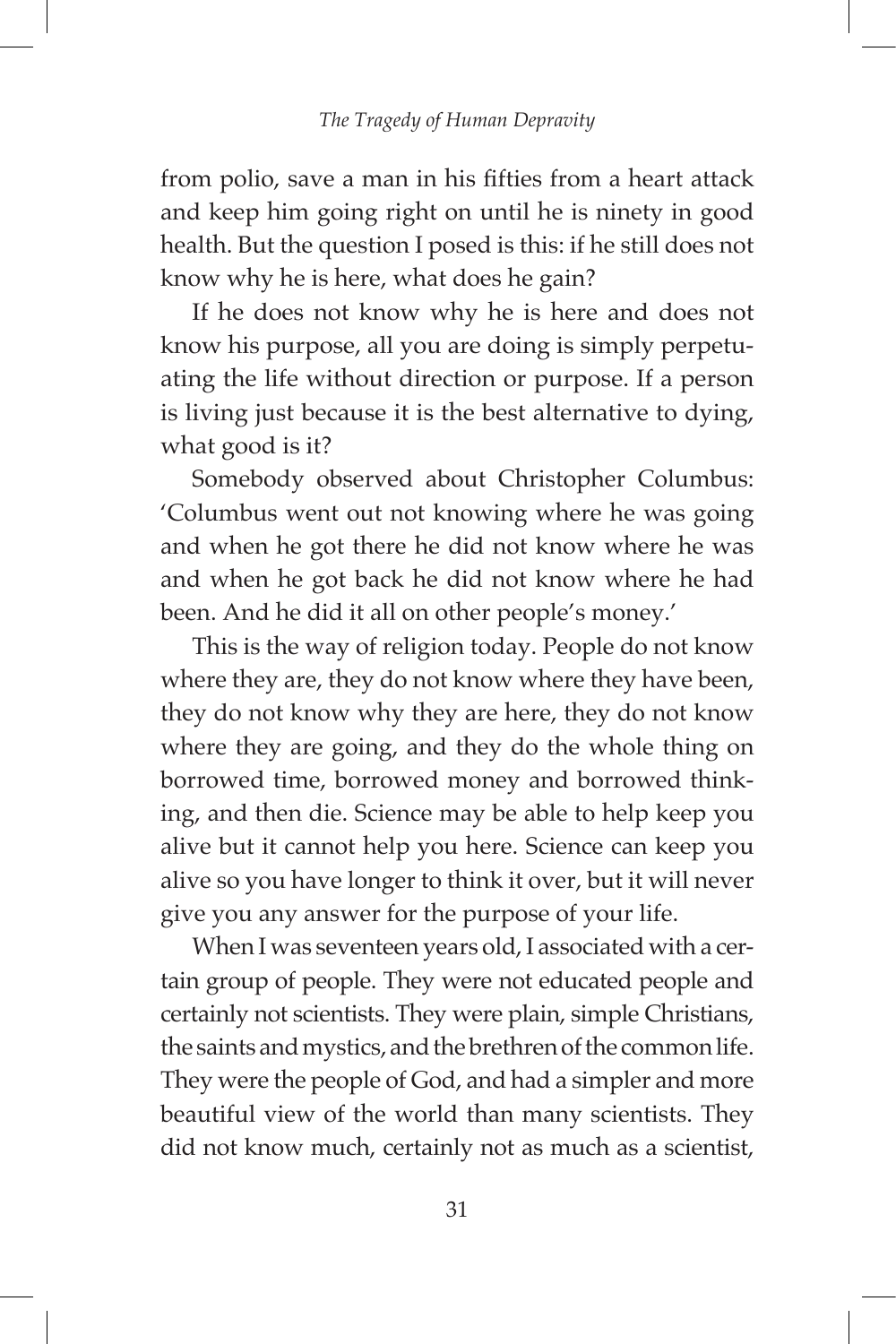from polio, save a man in his fifties from a heart attack and keep him going right on until he is ninety in good health. But the question I posed is this: if he still does not know why he is here, what does he gain?

If he does not know why he is here and does not know his purpose, all you are doing is simply perpetuating the life without direction or purpose. If a person is living just because it is the best alternative to dying, what good is it?

Somebody observed about Christopher Columbus: 'Columbus went out not knowing where he was going and when he got there he did not know where he was and when he got back he did not know where he had been. And he did it all on other people's money.'

This is the way of religion today. People do not know where they are, they do not know where they have been, they do not know why they are here, they do not know where they are going, and they do the whole thing on borrowed time, borrowed money and borrowed thinking, and then die. Science may be able to help keep you alive but it cannot help you here. Science can keep you alive so you have longer to think it over, but it will never give you any answer for the purpose of your life.

When I was seventeen years old, I associated with a certain group of people. They were not educated people and certainly not scientists. They were plain, simple Christians, the saints and mystics, and the brethren of the common life. They were the people of God, and had a simpler and more beautiful view of the world than many scientists. They did not know much, certainly not as much as a scientist,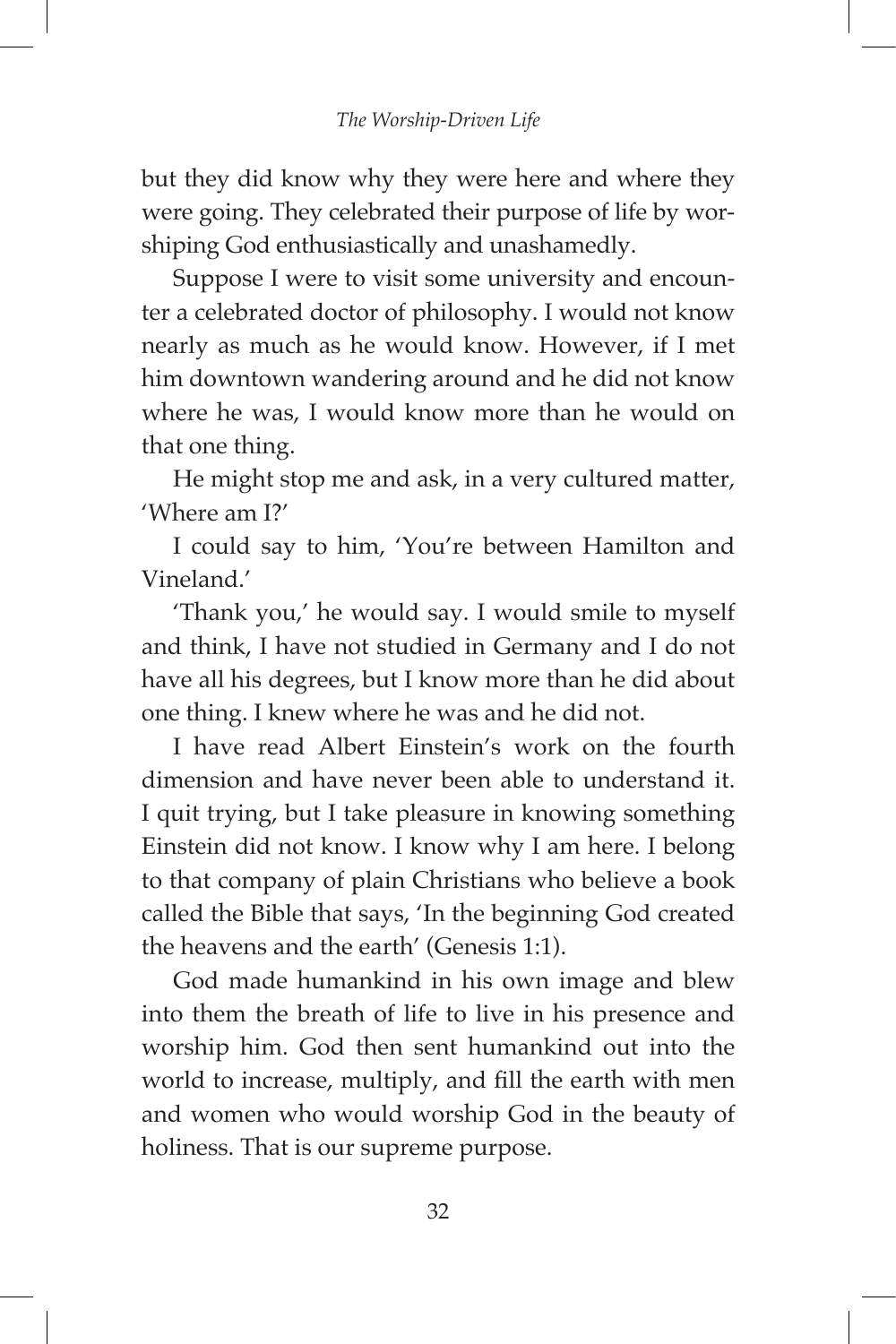but they did know why they were here and where they were going. They celebrated their purpose of life by worshiping God enthusiastically and unashamedly.

Suppose I were to visit some university and encounter a celebrated doctor of philosophy. I would not know nearly as much as he would know. However, if I met him downtown wandering around and he did not know where he was, I would know more than he would on that one thing.

He might stop me and ask, in a very cultured matter, 'Where am I?'

I could say to him, 'You're between Hamilton and Vineland.'

'Thank you,' he would say. I would smile to myself and think, I have not studied in Germany and I do not have all his degrees, but I know more than he did about one thing. I knew where he was and he did not.

I have read Albert Einstein's work on the fourth dimension and have never been able to understand it. I quit trying, but I take pleasure in knowing something Einstein did not know. I know why I am here. I belong to that company of plain Christians who believe a book called the Bible that says, 'In the beginning God created the heavens and the earth' (Genesis 1:1).

God made humankind in his own image and blew into them the breath of life to live in his presence and worship him. God then sent humankind out into the world to increase, multiply, and fill the earth with men and women who would worship God in the beauty of holiness. That is our supreme purpose.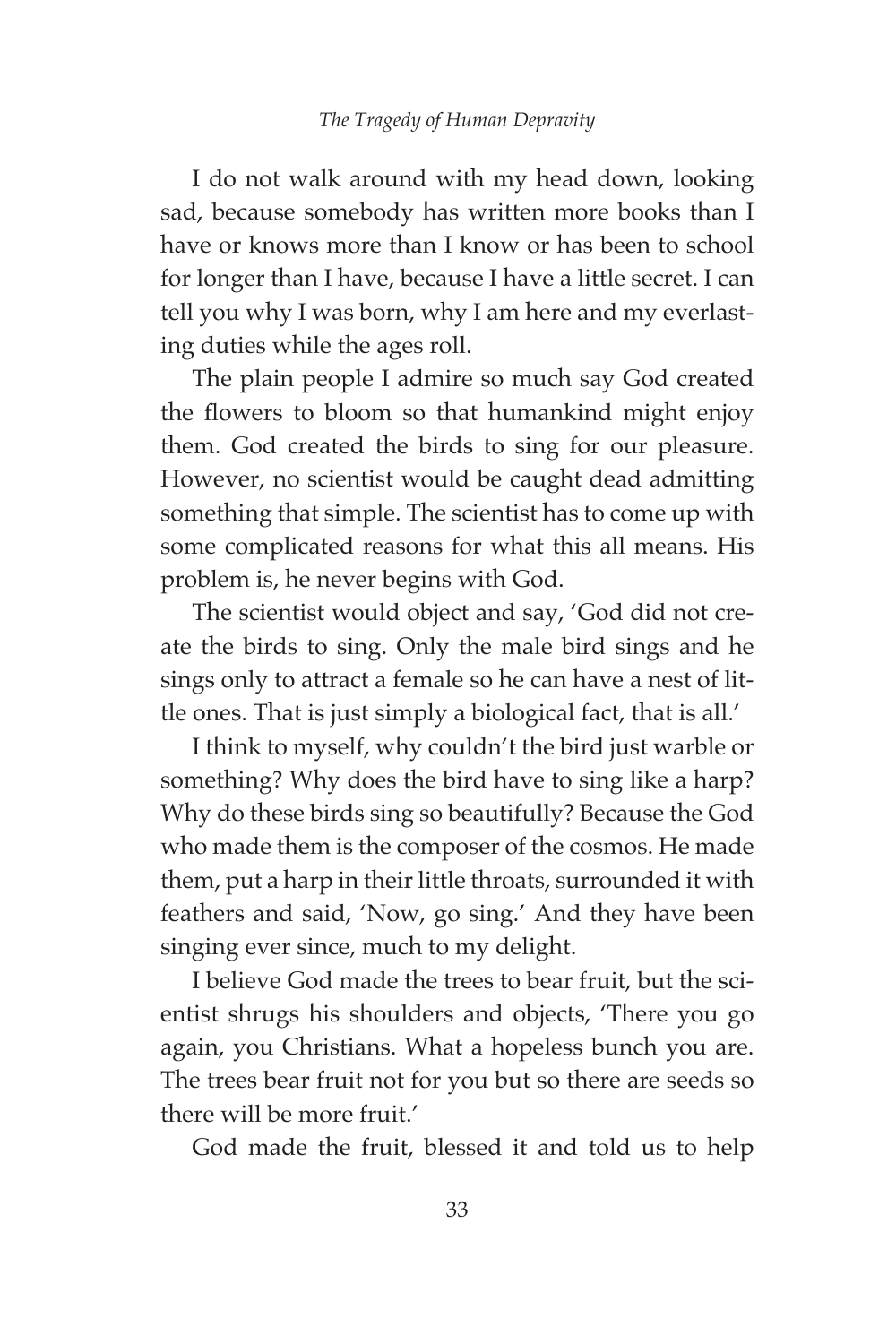I do not walk around with my head down, looking sad, because somebody has written more books than I have or knows more than I know or has been to school for longer than I have, because I have a little secret. I can tell you why I was born, why I am here and my everlasting duties while the ages roll.

The plain people I admire so much say God created the flowers to bloom so that humankind might enjoy them. God created the birds to sing for our pleasure. However, no scientist would be caught dead admitting something that simple. The scientist has to come up with some complicated reasons for what this all means. His problem is, he never begins with God.

The scientist would object and say, 'God did not create the birds to sing. Only the male bird sings and he sings only to attract a female so he can have a nest of little ones. That is just simply a biological fact, that is all.'

I think to myself, why couldn't the bird just warble or something? Why does the bird have to sing like a harp? Why do these birds sing so beautifully? Because the God who made them is the composer of the cosmos. He made them, put a harp in their little throats, surrounded it with feathers and said, 'Now, go sing.' And they have been singing ever since, much to my delight.

I believe God made the trees to bear fruit, but the scientist shrugs his shoulders and objects, 'There you go again, you Christians. What a hopeless bunch you are. The trees bear fruit not for you but so there are seeds so there will be more fruit.'

God made the fruit, blessed it and told us to help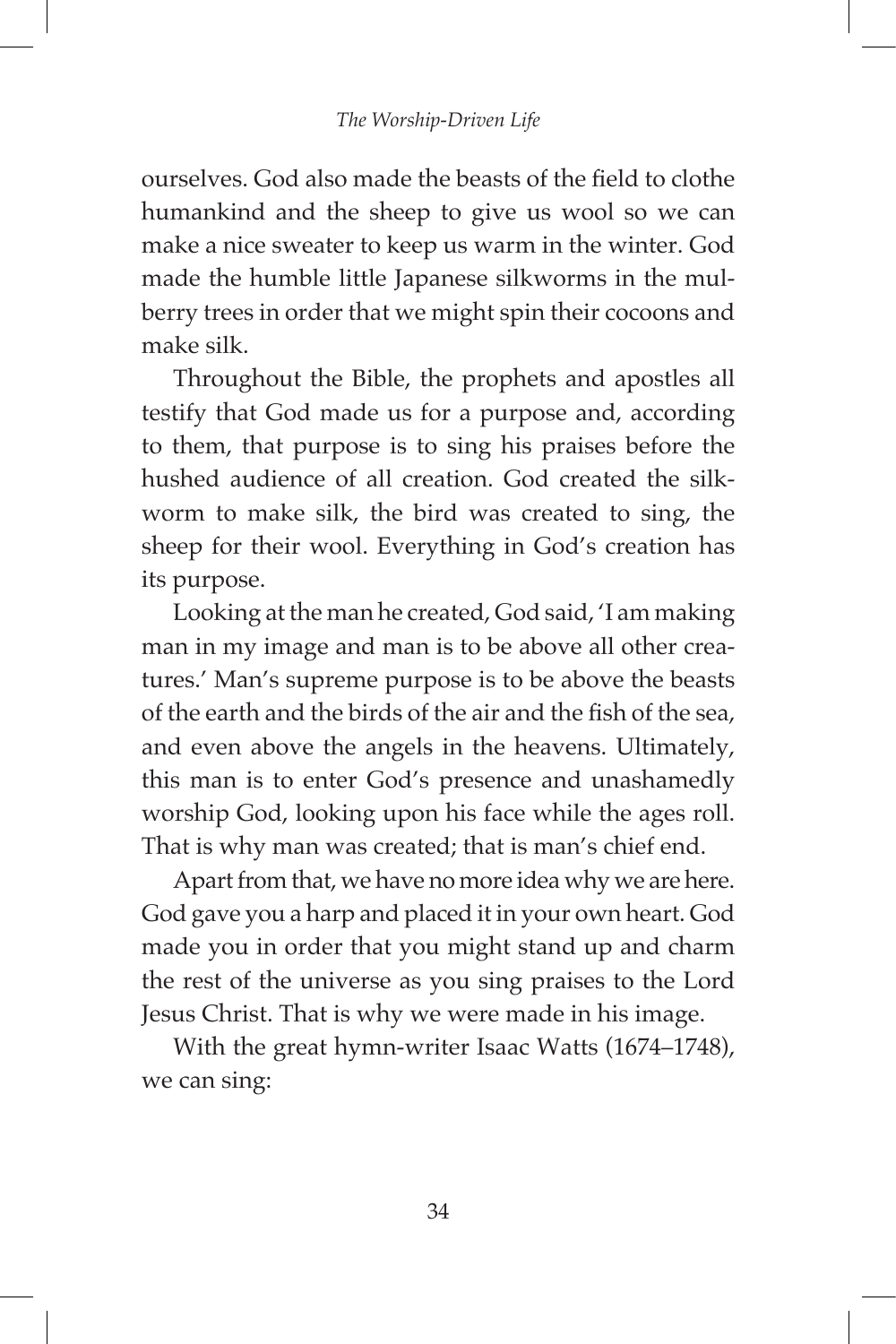ourselves. God also made the beasts of the field to clothe humankind and the sheep to give us wool so we can make a nice sweater to keep us warm in the winter. God made the humble little Japanese silkworms in the mulberry trees in order that we might spin their cocoons and make silk.

Throughout the Bible, the prophets and apostles all testify that God made us for a purpose and, according to them, that purpose is to sing his praises before the hushed audience of all creation. God created the silkworm to make silk, the bird was created to sing, the sheep for their wool. Everything in God's creation has its purpose.

Looking at the man he created, God said, 'I am making man in my image and man is to be above all other creatures.' Man's supreme purpose is to be above the beasts of the earth and the birds of the air and the fish of the sea, and even above the angels in the heavens. Ultimately, this man is to enter God's presence and unashamedly worship God, looking upon his face while the ages roll. That is why man was created; that is man's chief end.

Apart from that, we have no more idea why we are here. God gave you a harp and placed it in your own heart. God made you in order that you might stand up and charm the rest of the universe as you sing praises to the Lord Jesus Christ. That is why we were made in his image.

With the great hymn-writer Isaac Watts (1674–1748), we can sing: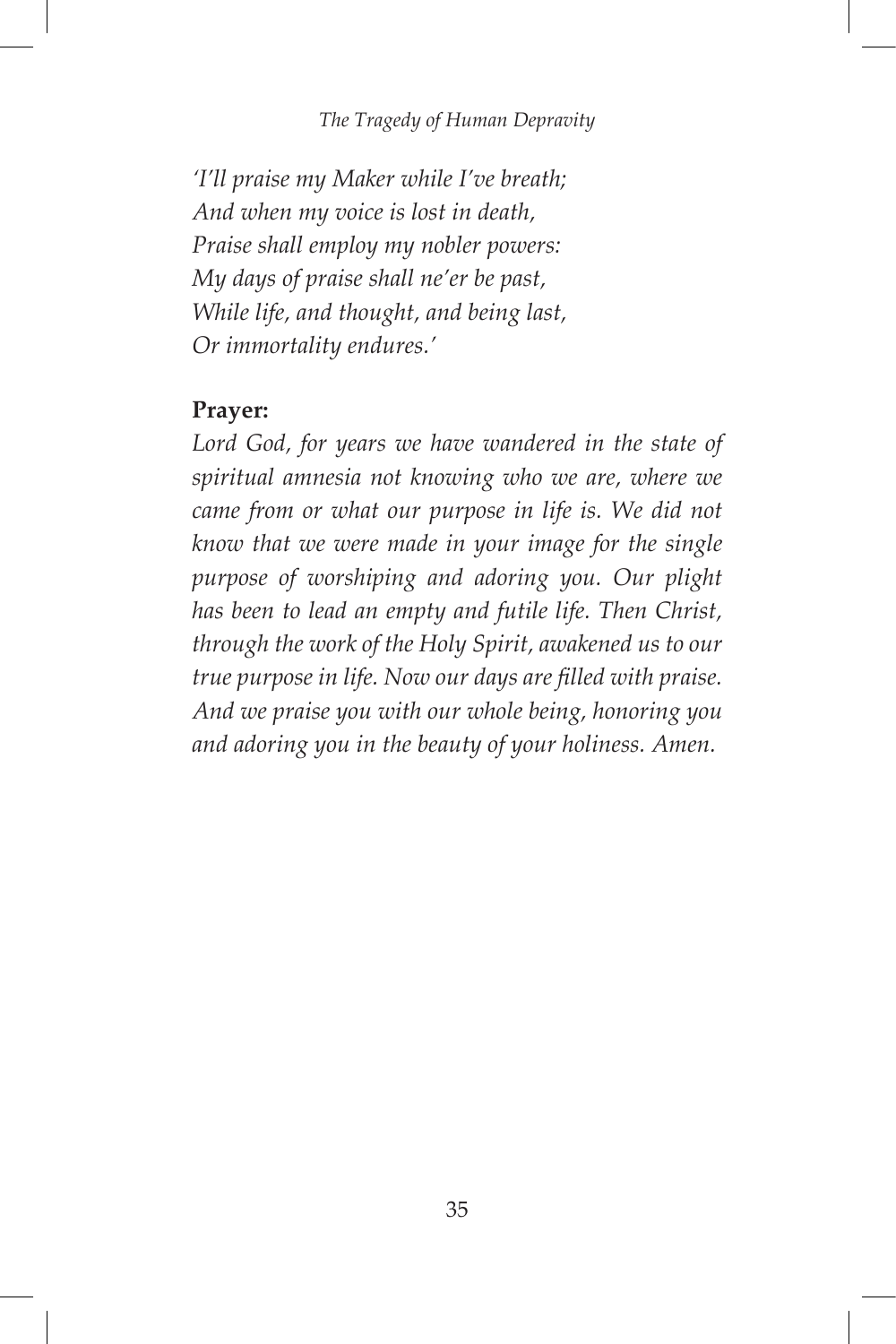#### *The Tragedy of Human Depravity*

*'I'll praise my Maker while I've breath; And when my voice is lost in death, Praise shall employ my nobler powers: My days of praise shall ne'er be past, While life, and thought, and being last, Or immortality endures.'*

### **Prayer:**

*Lord God, for years we have wandered in the state of spiritual amnesia not knowing who we are, where we came from or what our purpose in life is. We did not know that we were made in your image for the single purpose of worshiping and adoring you. Our plight has been to lead an empty and futile life. Then Christ, through the work of the Holy Spirit, awakened us to our true purpose in life. Now our days are filled with praise. And we praise you with our whole being, honoring you and adoring you in the beauty of your holiness. Amen.*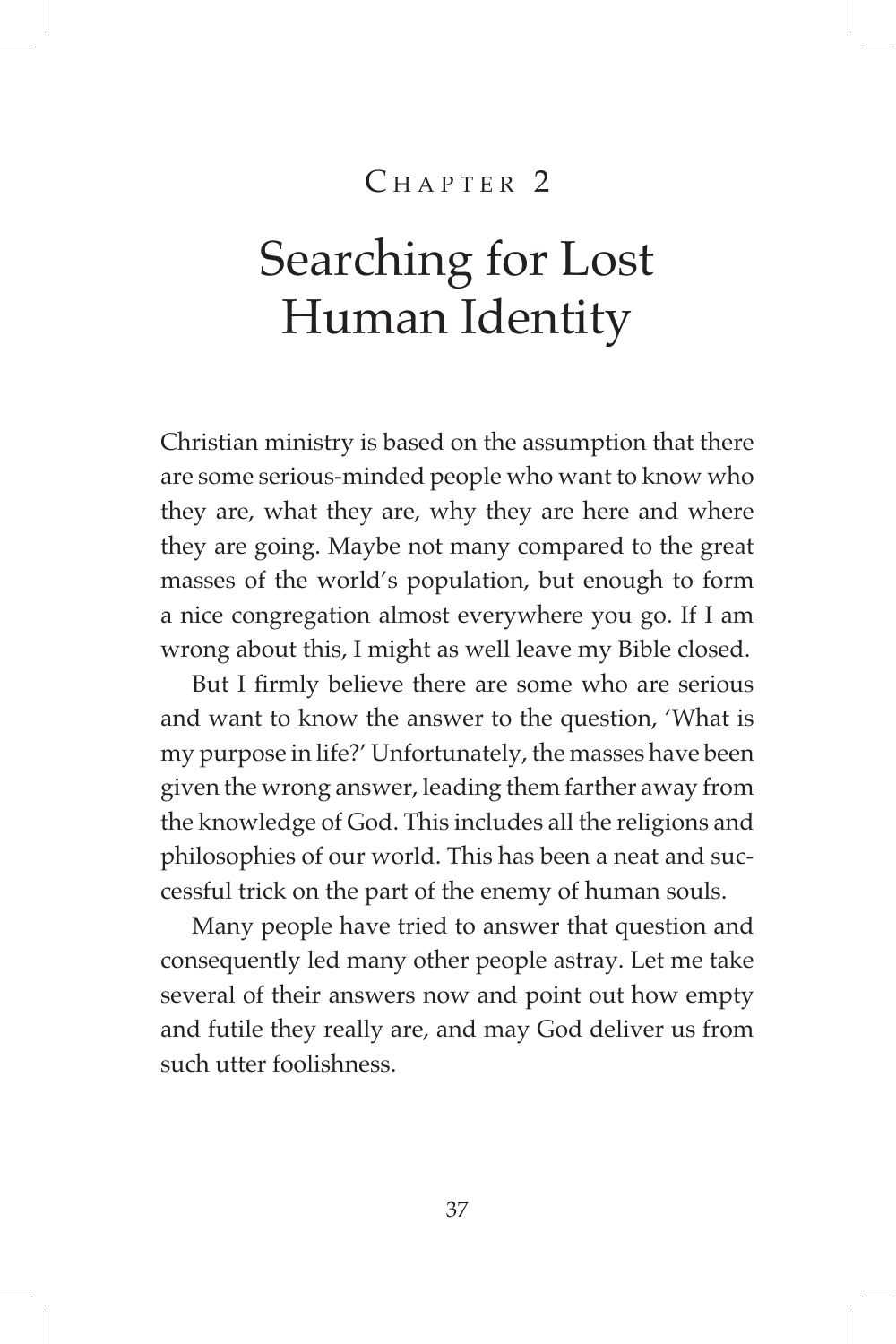## $CHAPTER$ <sup>2</sup>

## Searching for Lost Human Identity

Christian ministry is based on the assumption that there are some serious-minded people who want to know who they are, what they are, why they are here and where they are going. Maybe not many compared to the great masses of the world's population, but enough to form a nice congregation almost everywhere you go. If I am wrong about this, I might as well leave my Bible closed.

But I firmly believe there are some who are serious and want to know the answer to the question, 'What is my purpose in life?' Unfortunately, the masses have been given the wrong answer, leading them farther away from the knowledge of God. This includes all the religions and philosophies of our world. This has been a neat and successful trick on the part of the enemy of human souls.

Many people have tried to answer that question and consequently led many other people astray. Let me take several of their answers now and point out how empty and futile they really are, and may God deliver us from such utter foolishness.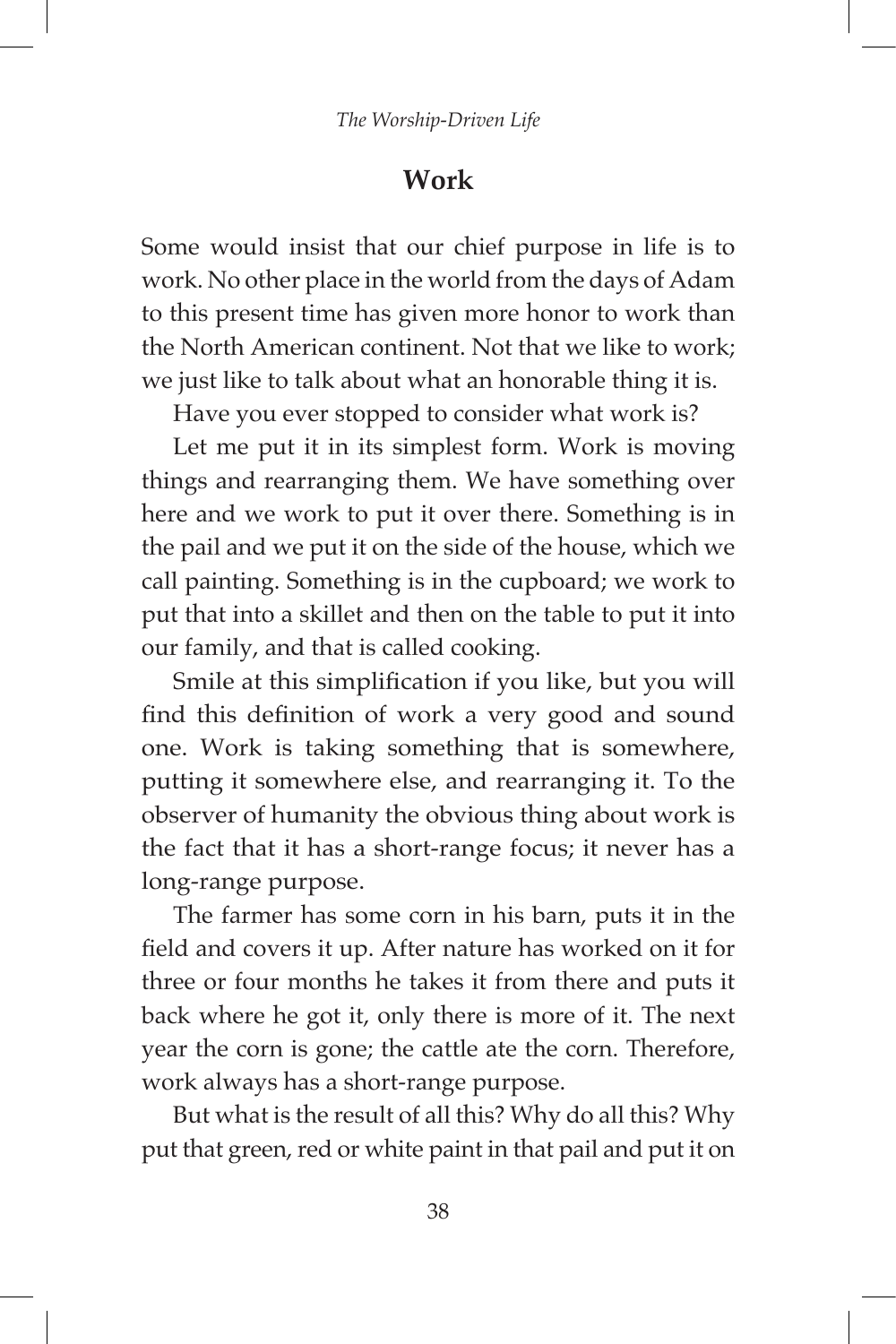## **Work**

Some would insist that our chief purpose in life is to work. No other place in the world from the days of Adam to this present time has given more honor to work than the North American continent. Not that we like to work; we just like to talk about what an honorable thing it is.

Have you ever stopped to consider what work is?

Let me put it in its simplest form. Work is moving things and rearranging them. We have something over here and we work to put it over there. Something is in the pail and we put it on the side of the house, which we call painting. Something is in the cupboard; we work to put that into a skillet and then on the table to put it into our family, and that is called cooking.

Smile at this simplification if you like, but you will find this definition of work a very good and sound one. Work is taking something that is somewhere, putting it somewhere else, and rearranging it. To the observer of humanity the obvious thing about work is the fact that it has a short-range focus; it never has a long-range purpose.

The farmer has some corn in his barn, puts it in the field and covers it up. After nature has worked on it for three or four months he takes it from there and puts it back where he got it, only there is more of it. The next year the corn is gone; the cattle ate the corn. Therefore, work always has a short-range purpose.

But what is the result of all this? Why do all this? Why put that green, red or white paint in that pail and put it on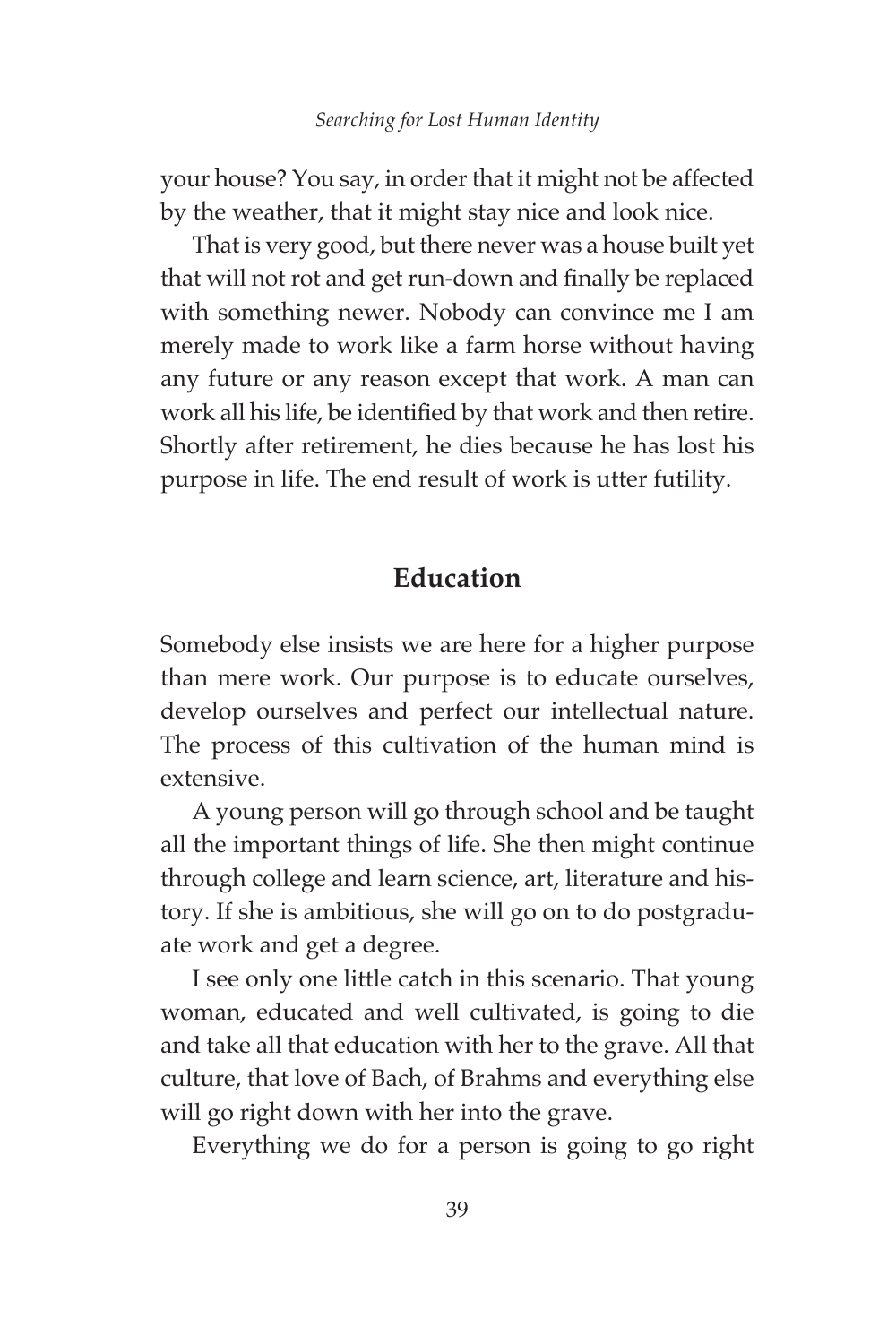your house? You say, in order that it might not be affected by the weather, that it might stay nice and look nice.

That is very good, but there never was a house built yet that will not rot and get run-down and finally be replaced with something newer. Nobody can convince me I am merely made to work like a farm horse without having any future or any reason except that work. A man can work all his life, be identified by that work and then retire. Shortly after retirement, he dies because he has lost his purpose in life. The end result of work is utter futility.

## **Education**

Somebody else insists we are here for a higher purpose than mere work. Our purpose is to educate ourselves, develop ourselves and perfect our intellectual nature. The process of this cultivation of the human mind is extensive.

A young person will go through school and be taught all the important things of life. She then might continue through college and learn science, art, literature and history. If she is ambitious, she will go on to do postgraduate work and get a degree.

I see only one little catch in this scenario. That young woman, educated and well cultivated, is going to die and take all that education with her to the grave. All that culture, that love of Bach, of Brahms and everything else will go right down with her into the grave.

Everything we do for a person is going to go right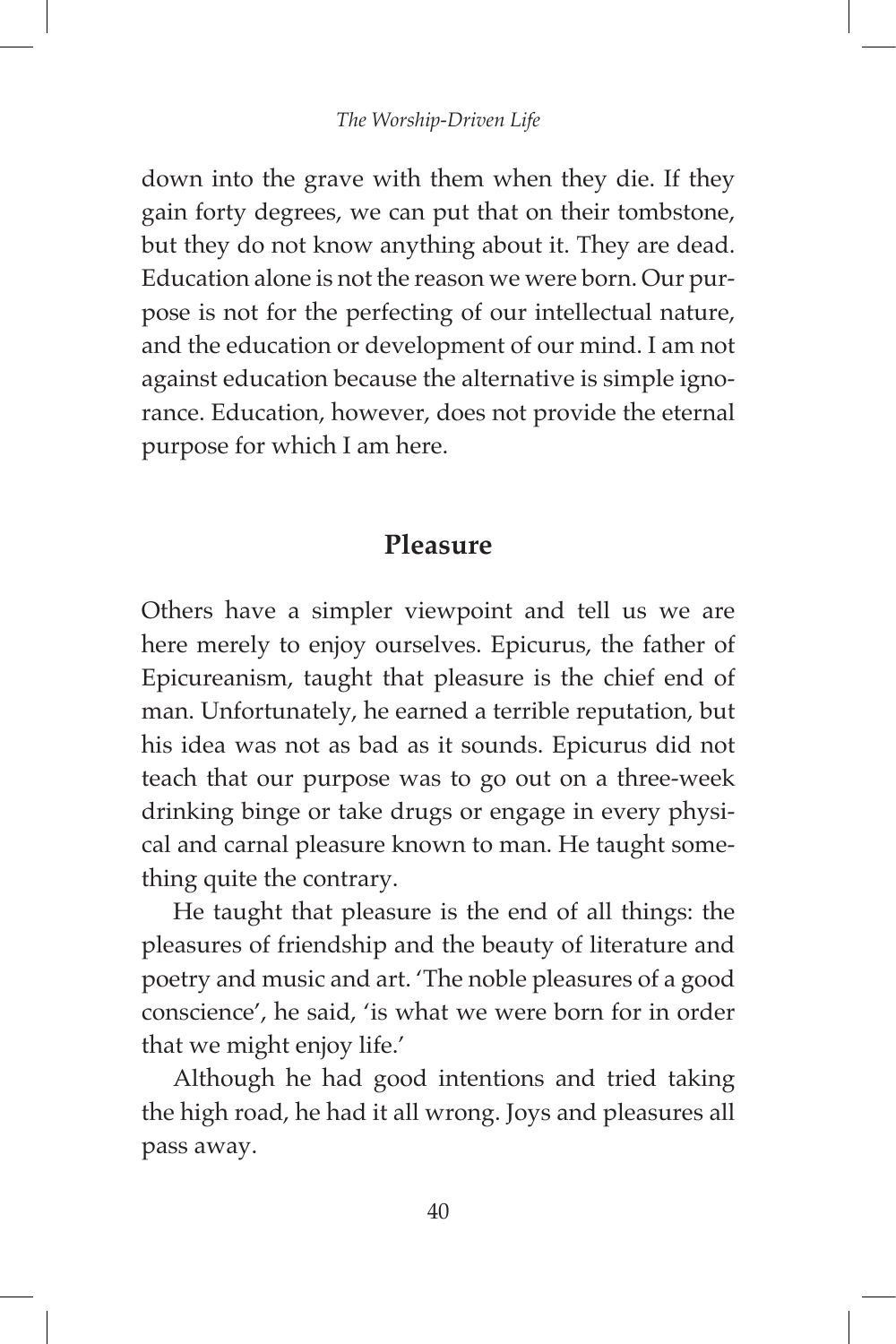down into the grave with them when they die. If they gain forty degrees, we can put that on their tombstone, but they do not know anything about it. They are dead. Education alone is not the reason we were born. Our purpose is not for the perfecting of our intellectual nature, and the education or development of our mind. I am not against education because the alternative is simple ignorance. Education, however, does not provide the eternal purpose for which I am here.

### **Pleasure**

Others have a simpler viewpoint and tell us we are here merely to enjoy ourselves. Epicurus, the father of Epicureanism, taught that pleasure is the chief end of man. Unfortunately, he earned a terrible reputation, but his idea was not as bad as it sounds. Epicurus did not teach that our purpose was to go out on a three-week drinking binge or take drugs or engage in every physical and carnal pleasure known to man. He taught something quite the contrary.

He taught that pleasure is the end of all things: the pleasures of friendship and the beauty of literature and poetry and music and art. 'The noble pleasures of a good conscience', he said, 'is what we were born for in order that we might enjoy life.'

Although he had good intentions and tried taking the high road, he had it all wrong. Joys and pleasures all pass away.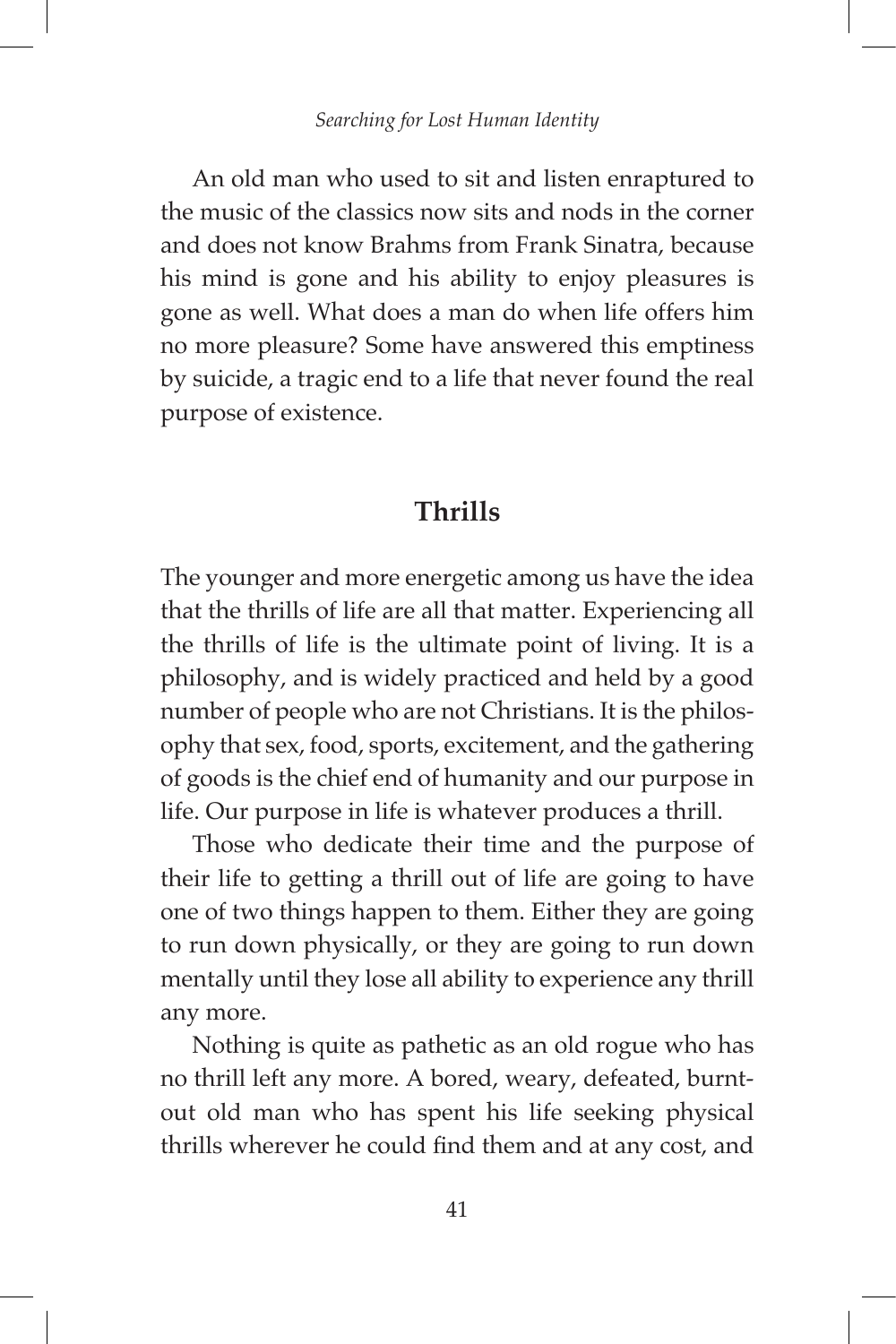An old man who used to sit and listen enraptured to the music of the classics now sits and nods in the corner and does not know Brahms from Frank Sinatra, because his mind is gone and his ability to enjoy pleasures is gone as well. What does a man do when life offers him no more pleasure? Some have answered this emptiness by suicide, a tragic end to a life that never found the real purpose of existence.

### **Thrills**

The younger and more energetic among us have the idea that the thrills of life are all that matter. Experiencing all the thrills of life is the ultimate point of living. It is a philosophy, and is widely practiced and held by a good number of people who are not Christians. It is the philosophy that sex, food, sports, excitement, and the gathering of goods is the chief end of humanity and our purpose in life. Our purpose in life is whatever produces a thrill.

Those who dedicate their time and the purpose of their life to getting a thrill out of life are going to have one of two things happen to them. Either they are going to run down physically, or they are going to run down mentally until they lose all ability to experience any thrill any more.

Nothing is quite as pathetic as an old rogue who has no thrill left any more. A bored, weary, defeated, burntout old man who has spent his life seeking physical thrills wherever he could find them and at any cost, and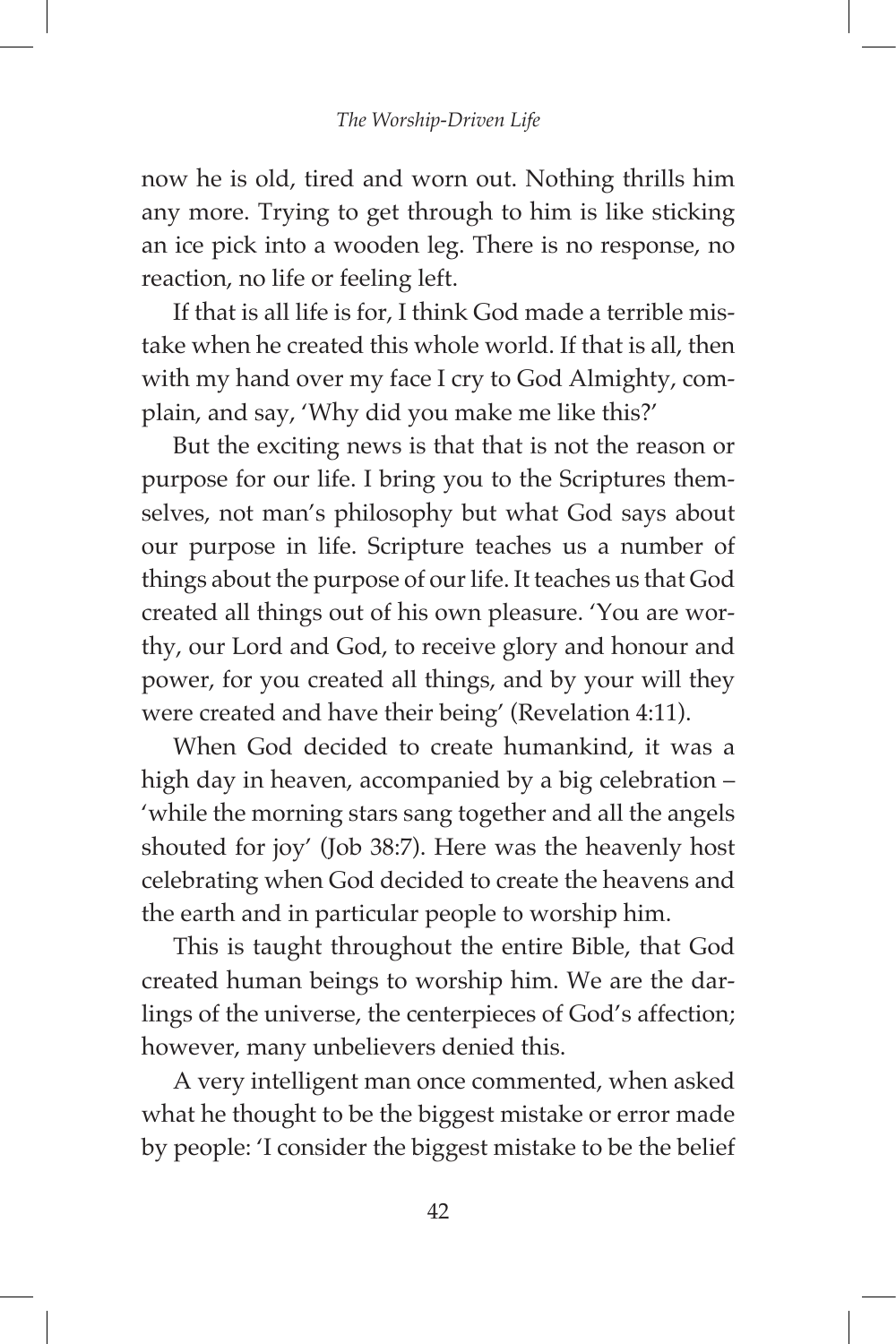now he is old, tired and worn out. Nothing thrills him any more. Trying to get through to him is like sticking an ice pick into a wooden leg. There is no response, no reaction, no life or feeling left.

If that is all life is for, I think God made a terrible mistake when he created this whole world. If that is all, then with my hand over my face I cry to God Almighty, complain, and say, 'Why did you make me like this?'

But the exciting news is that that is not the reason or purpose for our life. I bring you to the Scriptures themselves, not man's philosophy but what God says about our purpose in life. Scripture teaches us a number of things about the purpose of our life. It teaches us that God created all things out of his own pleasure. 'You are worthy, our Lord and God, to receive glory and honour and power, for you created all things, and by your will they were created and have their being' (Revelation 4:11).

When God decided to create humankind, it was a high day in heaven, accompanied by a big celebration – 'while the morning stars sang together and all the angels shouted for joy' (Job 38:7). Here was the heavenly host celebrating when God decided to create the heavens and the earth and in particular people to worship him.

This is taught throughout the entire Bible, that God created human beings to worship him. We are the darlings of the universe, the centerpieces of God's affection; however, many unbelievers denied this.

A very intelligent man once commented, when asked what he thought to be the biggest mistake or error made by people: 'I consider the biggest mistake to be the belief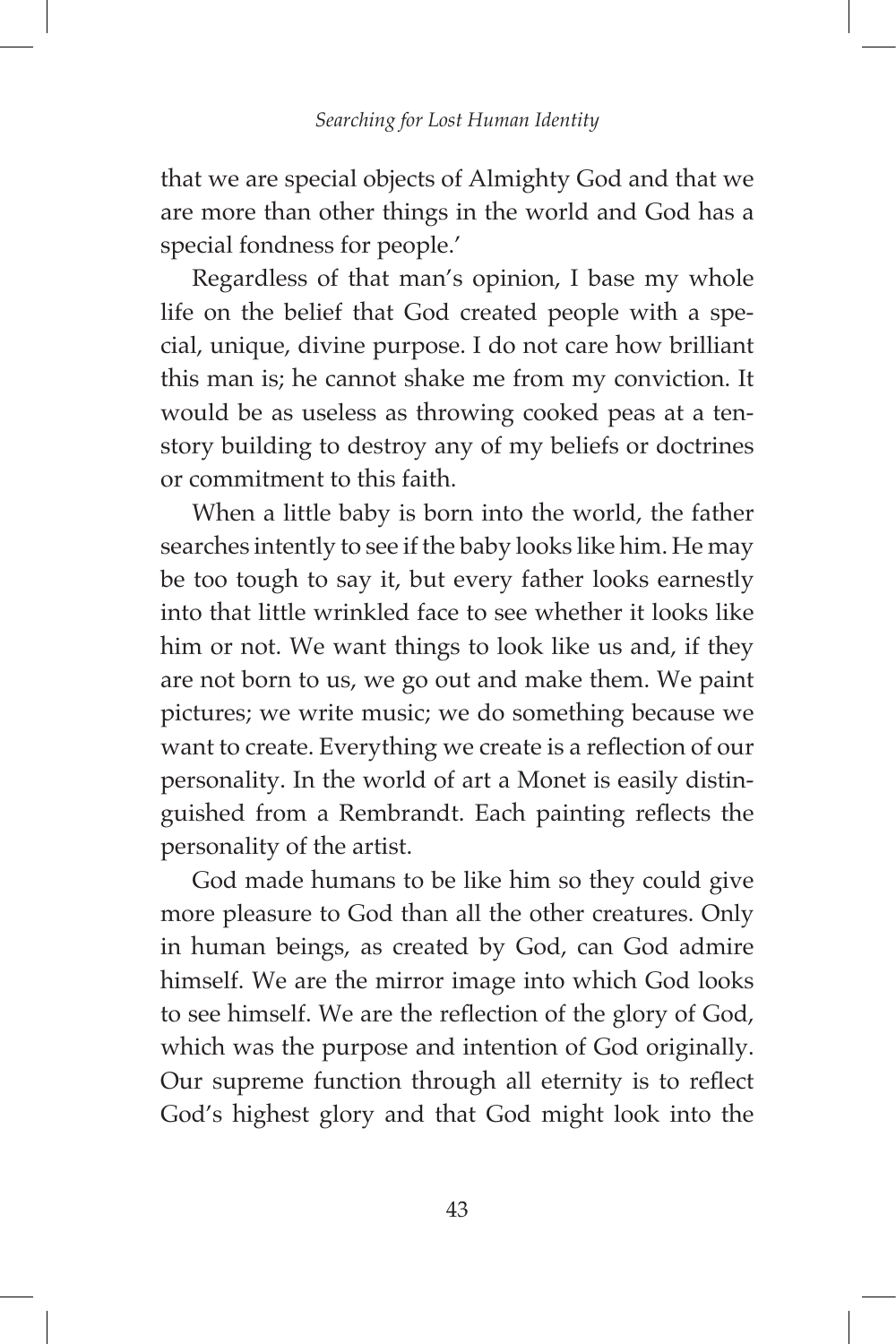that we are special objects of Almighty God and that we are more than other things in the world and God has a special fondness for people.'

Regardless of that man's opinion, I base my whole life on the belief that God created people with a special, unique, divine purpose. I do not care how brilliant this man is; he cannot shake me from my conviction. It would be as useless as throwing cooked peas at a tenstory building to destroy any of my beliefs or doctrines or commitment to this faith.

When a little baby is born into the world, the father searches intently to see if the baby looks like him. He may be too tough to say it, but every father looks earnestly into that little wrinkled face to see whether it looks like him or not. We want things to look like us and, if they are not born to us, we go out and make them. We paint pictures; we write music; we do something because we want to create. Everything we create is a reflection of our personality. In the world of art a Monet is easily distinguished from a Rembrandt. Each painting reflects the personality of the artist.

God made humans to be like him so they could give more pleasure to God than all the other creatures. Only in human beings, as created by God, can God admire himself. We are the mirror image into which God looks to see himself. We are the reflection of the glory of God, which was the purpose and intention of God originally. Our supreme function through all eternity is to reflect God's highest glory and that God might look into the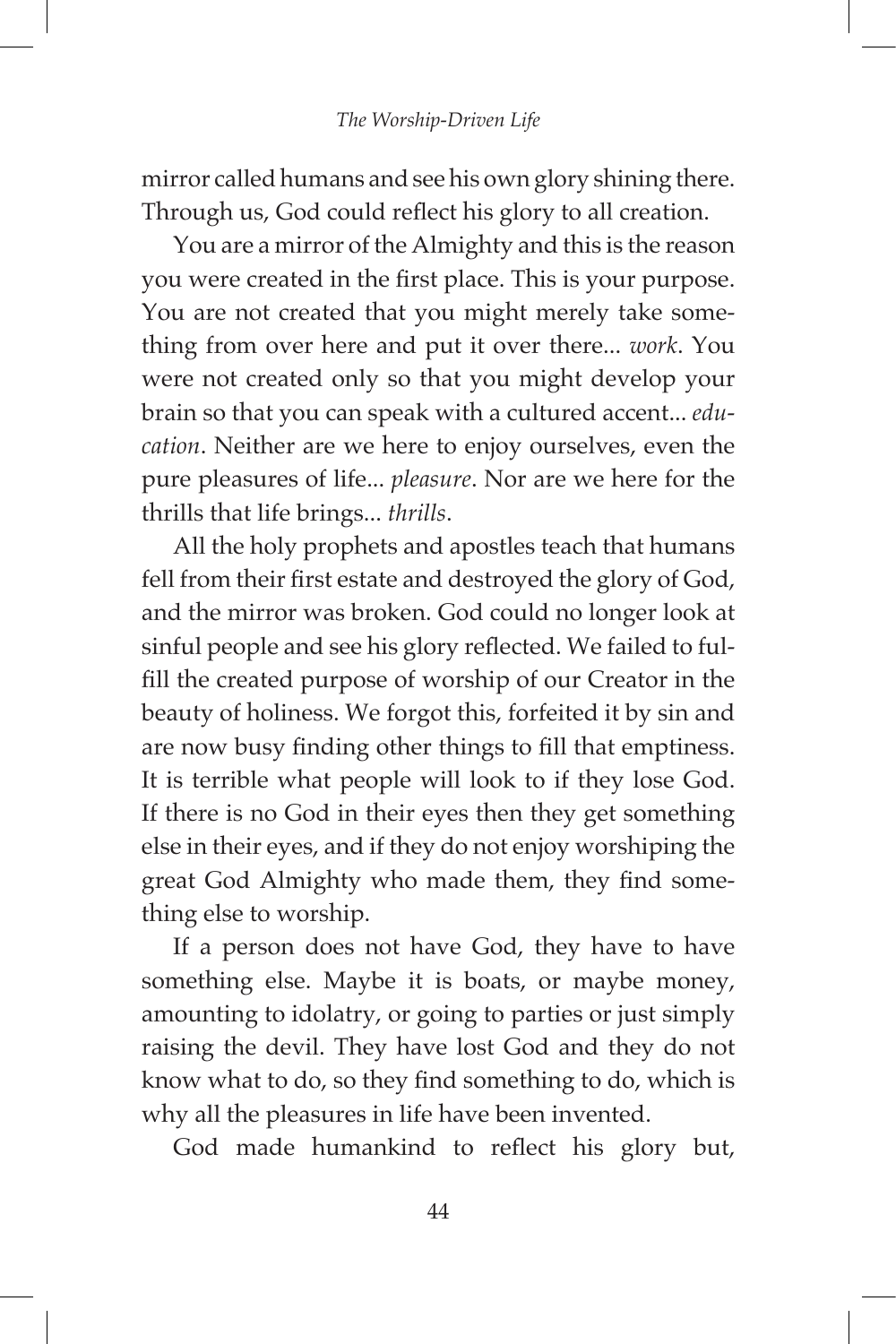mirror called humans and see his own glory shining there. Through us, God could reflect his glory to all creation.

You are a mirror of the Almighty and this is the reason you were created in the first place. This is your purpose. You are not created that you might merely take something from over here and put it over there... *work*. You were not created only so that you might develop your brain so that you can speak with a cultured accent... *education*. Neither are we here to enjoy ourselves, even the pure pleasures of life... *pleasure*. Nor are we here for the thrills that life brings... *thrills*.

All the holy prophets and apostles teach that humans fell from their first estate and destroyed the glory of God, and the mirror was broken. God could no longer look at sinful people and see his glory reflected. We failed to fulfill the created purpose of worship of our Creator in the beauty of holiness. We forgot this, forfeited it by sin and are now busy finding other things to fill that emptiness. It is terrible what people will look to if they lose God. If there is no God in their eyes then they get something else in their eyes, and if they do not enjoy worshiping the great God Almighty who made them, they find something else to worship.

If a person does not have God, they have to have something else. Maybe it is boats, or maybe money, amounting to idolatry, or going to parties or just simply raising the devil. They have lost God and they do not know what to do, so they find something to do, which is why all the pleasures in life have been invented.

God made humankind to reflect his glory but,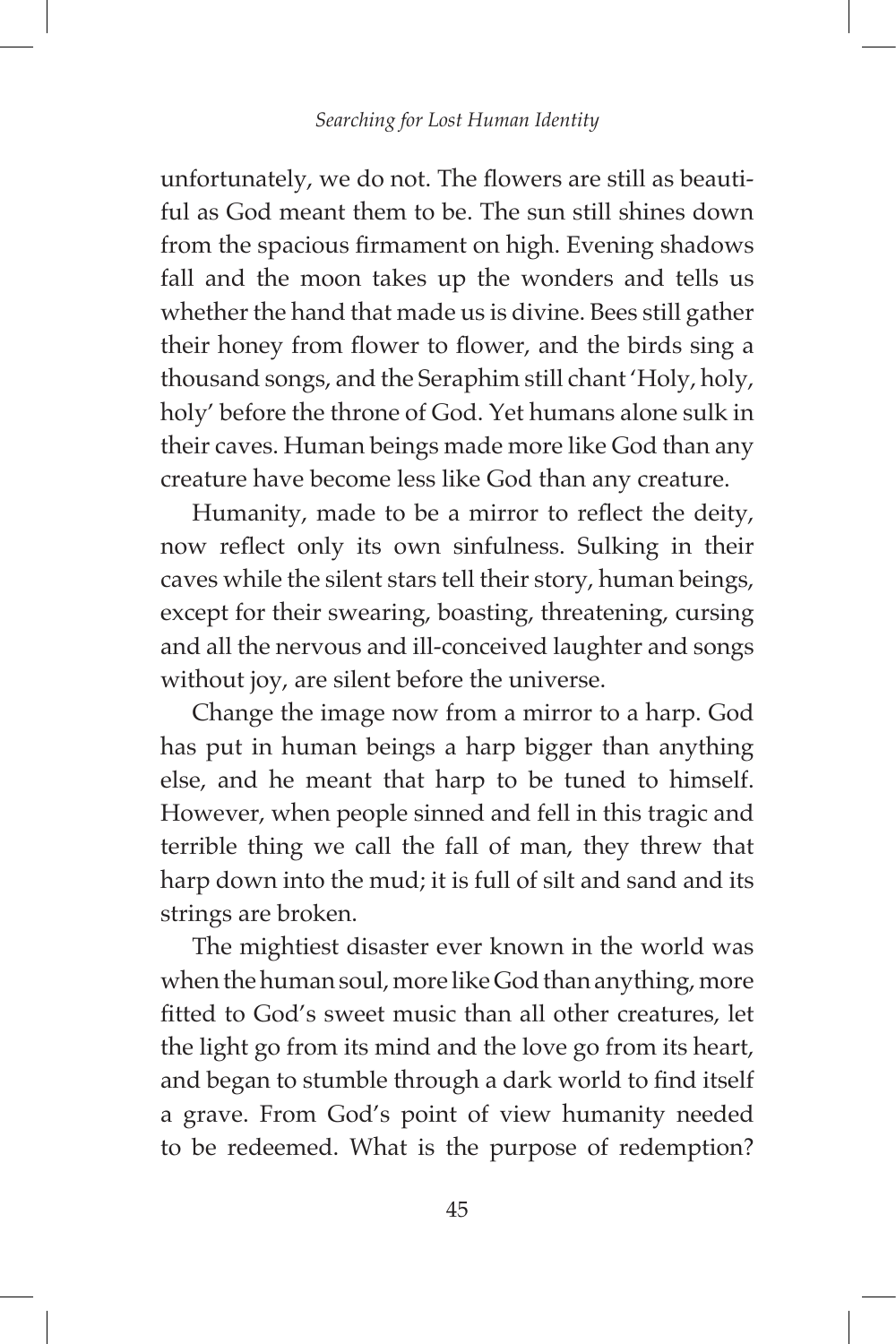unfortunately, we do not. The flowers are still as beautiful as God meant them to be. The sun still shines down from the spacious firmament on high. Evening shadows fall and the moon takes up the wonders and tells us whether the hand that made us is divine. Bees still gather their honey from flower to flower, and the birds sing a thousand songs, and the Seraphim still chant 'Holy, holy, holy' before the throne of God. Yet humans alone sulk in their caves. Human beings made more like God than any creature have become less like God than any creature.

Humanity, made to be a mirror to reflect the deity, now reflect only its own sinfulness. Sulking in their caves while the silent stars tell their story, human beings, except for their swearing, boasting, threatening, cursing and all the nervous and ill-conceived laughter and songs without joy, are silent before the universe.

Change the image now from a mirror to a harp. God has put in human beings a harp bigger than anything else, and he meant that harp to be tuned to himself. However, when people sinned and fell in this tragic and terrible thing we call the fall of man, they threw that harp down into the mud; it is full of silt and sand and its strings are broken.

The mightiest disaster ever known in the world was when the human soul, more like God than anything, more fitted to God's sweet music than all other creatures, let the light go from its mind and the love go from its heart, and began to stumble through a dark world to find itself a grave. From God's point of view humanity needed to be redeemed. What is the purpose of redemption?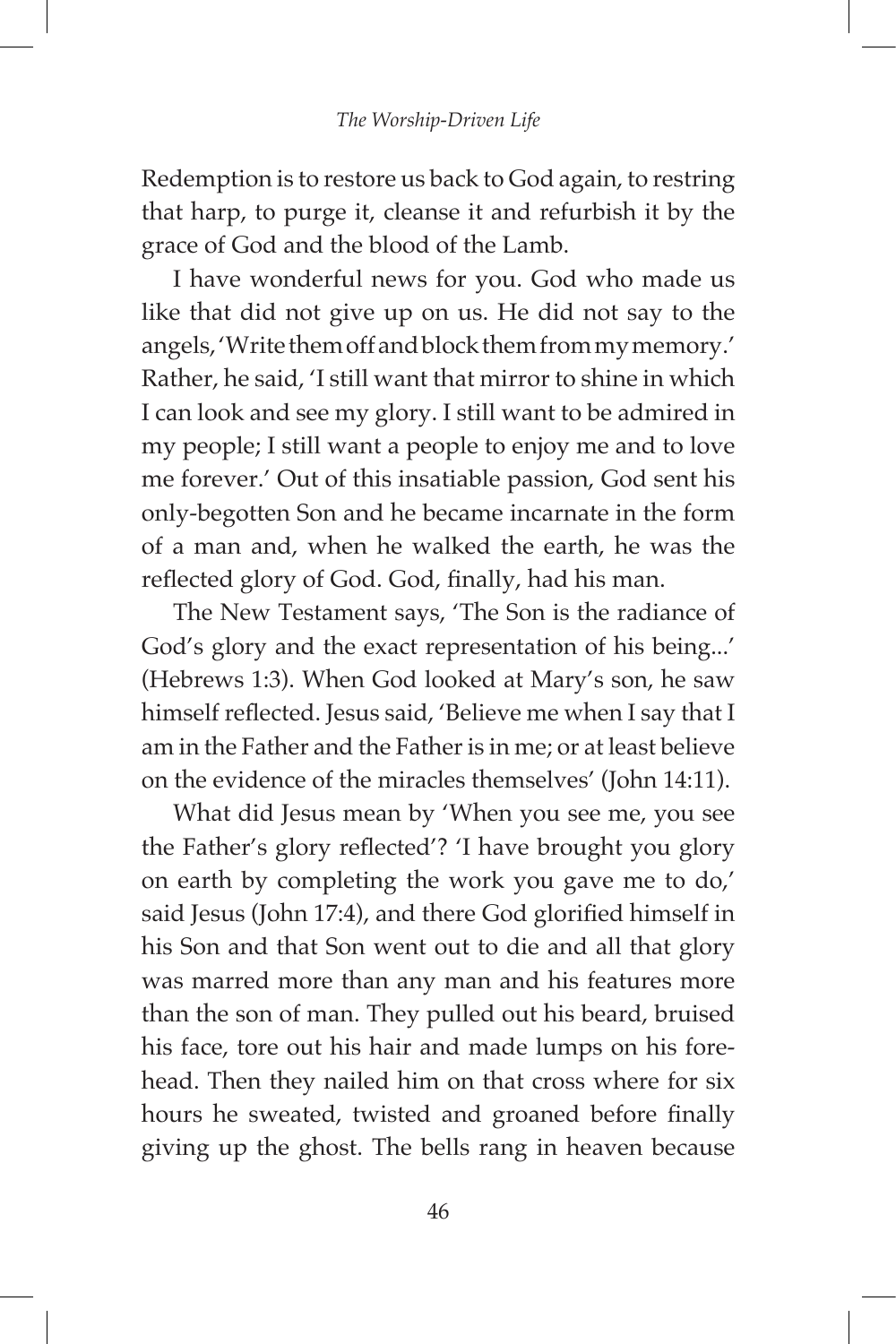Redemption is to restore us back to God again, to restring that harp, to purge it, cleanse it and refurbish it by the grace of God and the blood of the Lamb.

I have wonderful news for you. God who made us like that did not give up on us. He did not say to the angels, 'Write them off and block them from my memory.' Rather, he said, 'I still want that mirror to shine in which I can look and see my glory. I still want to be admired in my people; I still want a people to enjoy me and to love me forever.' Out of this insatiable passion, God sent his only-begotten Son and he became incarnate in the form of a man and, when he walked the earth, he was the reflected glory of God. God, finally, had his man.

The New Testament says, 'The Son is the radiance of God's glory and the exact representation of his being...' (Hebrews 1:3). When God looked at Mary's son, he saw himself reflected. Jesus said, 'Believe me when I say that I am in the Father and the Father is in me; or at least believe on the evidence of the miracles themselves' (John 14:11).

What did Jesus mean by 'When you see me, you see the Father's glory reflected'? 'I have brought you glory on earth by completing the work you gave me to do,' said Jesus (John 17:4), and there God glorified himself in his Son and that Son went out to die and all that glory was marred more than any man and his features more than the son of man. They pulled out his beard, bruised his face, tore out his hair and made lumps on his forehead. Then they nailed him on that cross where for six hours he sweated, twisted and groaned before finally giving up the ghost. The bells rang in heaven because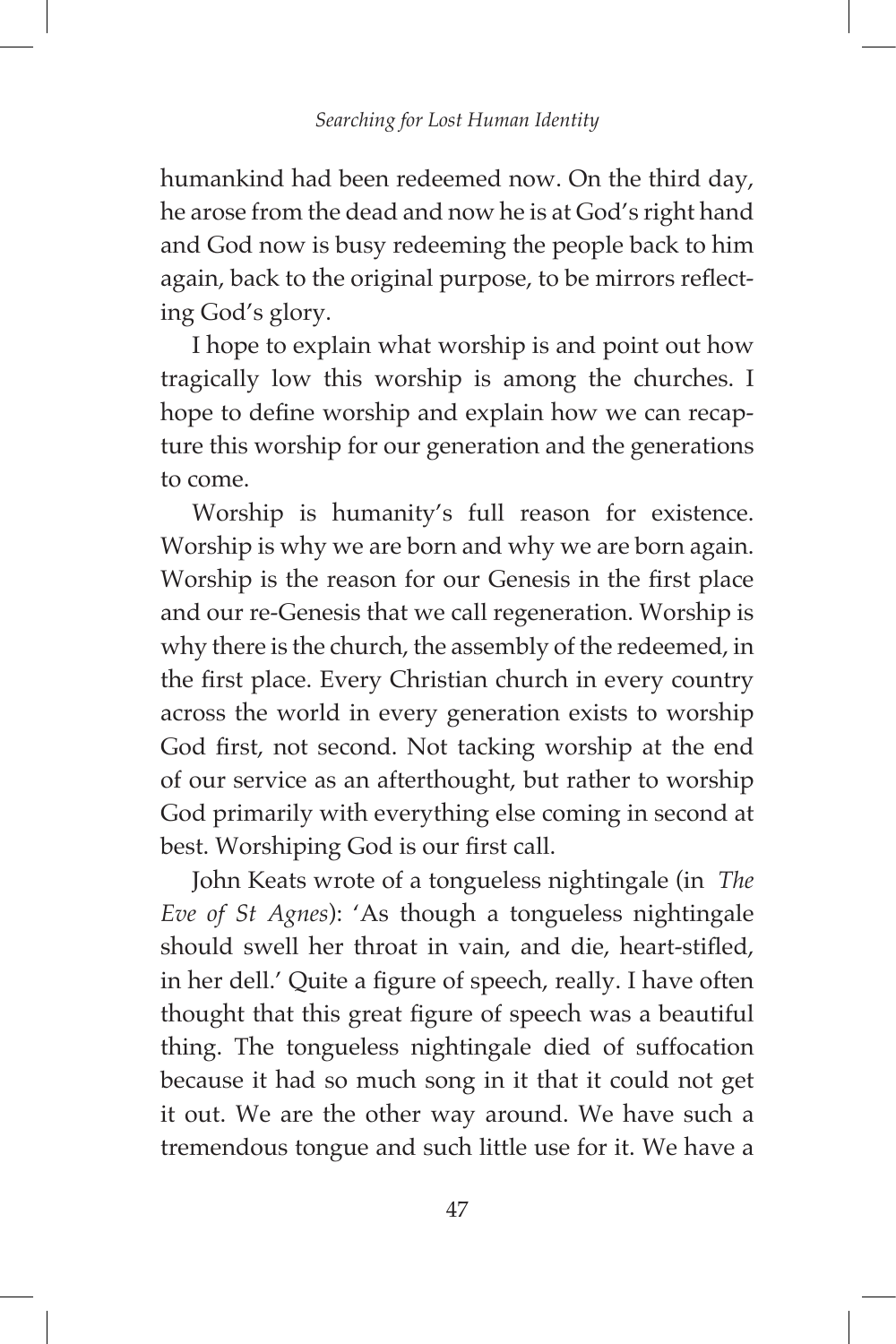humankind had been redeemed now. On the third day, he arose from the dead and now he is at God's right hand and God now is busy redeeming the people back to him again, back to the original purpose, to be mirrors reflecting God's glory.

I hope to explain what worship is and point out how tragically low this worship is among the churches. I hope to define worship and explain how we can recapture this worship for our generation and the generations to come.

Worship is humanity's full reason for existence. Worship is why we are born and why we are born again. Worship is the reason for our Genesis in the first place and our re-Genesis that we call regeneration. Worship is why there is the church, the assembly of the redeemed, in the first place. Every Christian church in every country across the world in every generation exists to worship God first, not second. Not tacking worship at the end of our service as an afterthought, but rather to worship God primarily with everything else coming in second at best. Worshiping God is our first call.

John Keats wrote of a tongueless nightingale (in *The Eve of St Agnes*): 'As though a tongueless nightingale should swell her throat in vain, and die, heart-stifled, in her dell.' Quite a figure of speech, really. I have often thought that this great figure of speech was a beautiful thing. The tongueless nightingale died of suffocation because it had so much song in it that it could not get it out. We are the other way around. We have such a tremendous tongue and such little use for it. We have a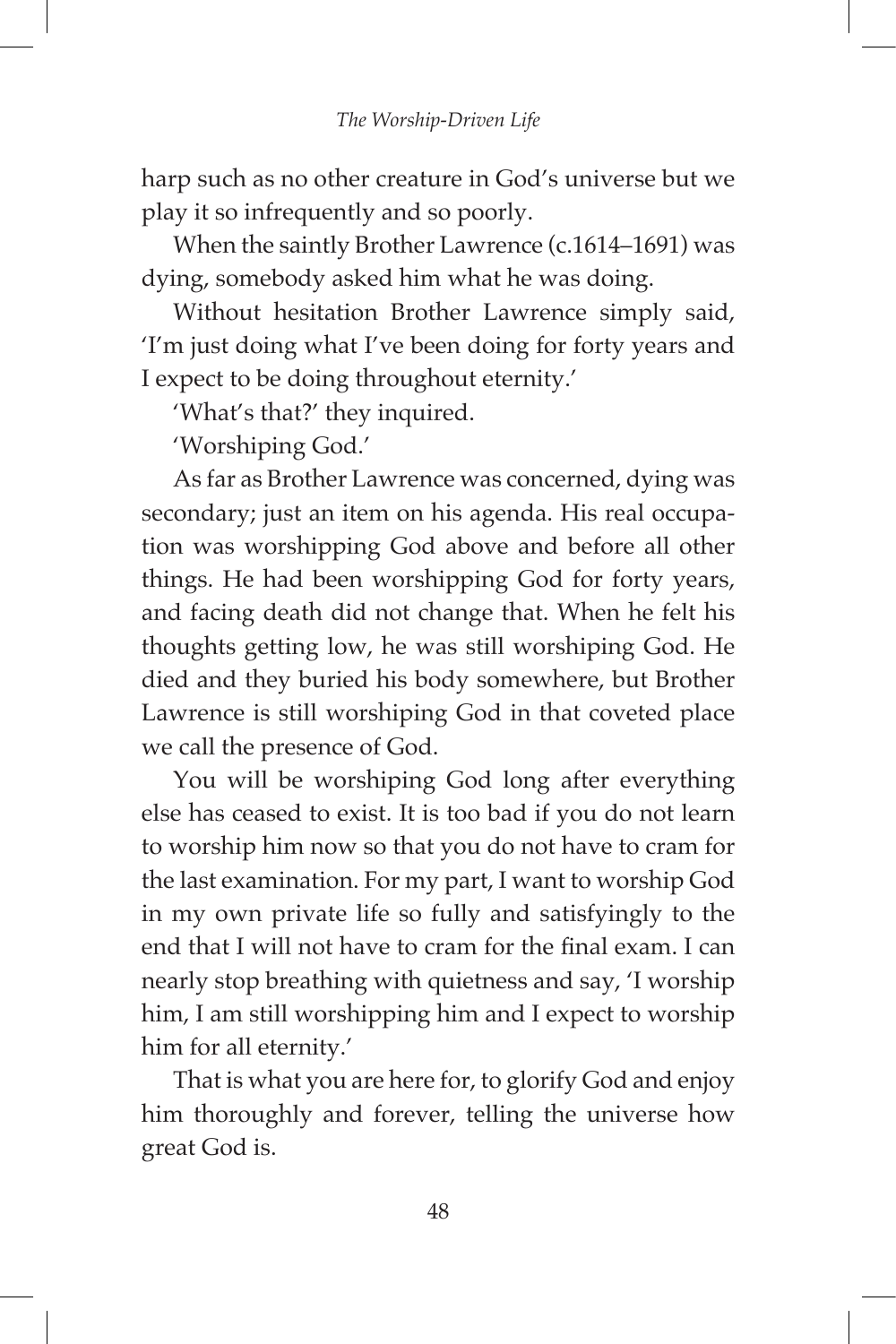harp such as no other creature in God's universe but we play it so infrequently and so poorly.

When the saintly Brother Lawrence (c.1614–1691) was dying, somebody asked him what he was doing.

Without hesitation Brother Lawrence simply said, 'I'm just doing what I've been doing for forty years and I expect to be doing throughout eternity.'

'What's that?' they inquired.

'Worshiping God.'

As far as Brother Lawrence was concerned, dying was secondary; just an item on his agenda. His real occupation was worshipping God above and before all other things. He had been worshipping God for forty years, and facing death did not change that. When he felt his thoughts getting low, he was still worshiping God. He died and they buried his body somewhere, but Brother Lawrence is still worshiping God in that coveted place we call the presence of God.

You will be worshiping God long after everything else has ceased to exist. It is too bad if you do not learn to worship him now so that you do not have to cram for the last examination. For my part, I want to worship God in my own private life so fully and satisfyingly to the end that I will not have to cram for the final exam. I can nearly stop breathing with quietness and say, 'I worship him, I am still worshipping him and I expect to worship him for all eternity.'

That is what you are here for, to glorify God and enjoy him thoroughly and forever, telling the universe how great God is.